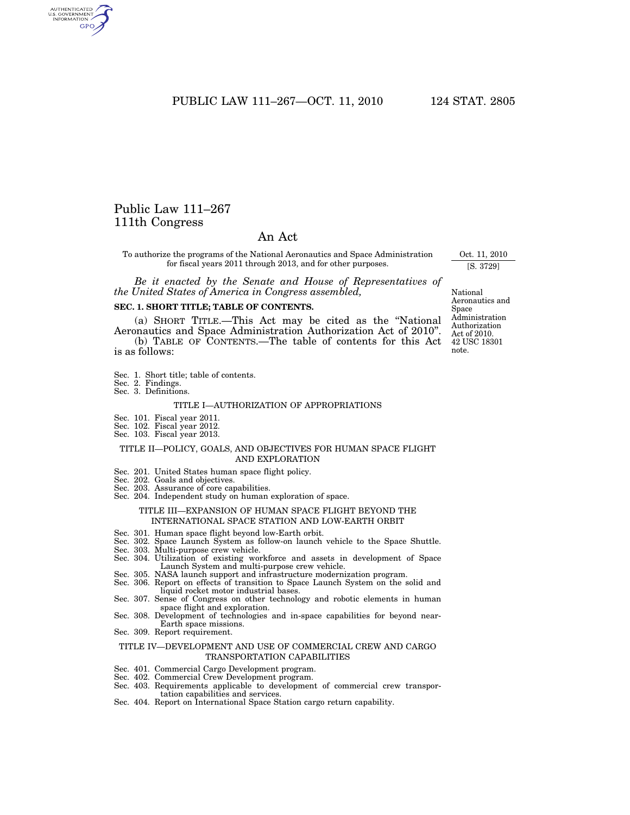PUBLIC LAW 111–267—OCT. 11, 2010 124 STAT. 2805

# Public Law 111–267 111th Congress

AUTHENTICATED<br>U.S. GOVERNMENT<br>INFORMATION GPO

# An Act

To authorize the programs of the National Aeronautics and Space Administration for fiscal years 2011 through 2013, and for other purposes.

*Be it enacted by the Senate and House of Representatives of the United States of America in Congress assembled,* 

#### **SEC. 1. SHORT TITLE; TABLE OF CONTENTS.**

(a) SHORT TITLE.—This Act may be cited as the ''National Aeronautics and Space Administration Authorization Act of 2010''. (b) TABLE OF CONTENTS.—The table of contents for this Act is as follows:

- Sec. 1. Short title; table of contents.
- Sec. 2. Findings.
- Sec. 3. Definitions.

#### TITLE I—AUTHORIZATION OF APPROPRIATIONS

- Sec. 101. Fiscal year 2011.
- Sec. 102. Fiscal year 2012.
- Sec. 103. Fiscal year 2013.

#### TITLE II—POLICY, GOALS, AND OBJECTIVES FOR HUMAN SPACE FLIGHT AND EXPLORATION

- Sec. 201. United States human space flight policy.
- Sec. 202. Goals and objectives.
- Sec. 203. Assurance of core capabilities.
- Sec. 204. Independent study on human exploration of space.

# TITLE III—EXPANSION OF HUMAN SPACE FLIGHT BEYOND THE INTERNATIONAL SPACE STATION AND LOW-EARTH ORBIT

- Sec. 301. Human space flight beyond low-Earth orbit.
- Sec. 302. Space Launch System as follow-on launch vehicle to the Space Shuttle.
- Sec. 303. Multi-purpose crew vehicle.
- Sec. 304. Utilization of existing workforce and assets in development of Space Launch System and multi-purpose crew vehicle.
- Sec. 305. NASA launch support and infrastructure modernization program. Sec. 306. Report on effects of transition to Space Launch System on the solid and liquid rocket motor industrial bases.
- Sec. 307. Sense of Congress on other technology and robotic elements in human space flight and exploration.
- Sec. 308. Development of technologies and in-space capabilities for beyond near-Earth space missions.
- Sec. 309. Report requirement.

#### TITLE IV—DEVELOPMENT AND USE OF COMMERCIAL CREW AND CARGO TRANSPORTATION CAPABILITIES

- Sec. 401. Commercial Cargo Development program.
- Sec. 402. Commercial Crew Development program.
- Sec. 403. Requirements applicable to development of commercial crew transportation capabilities and services.
- Sec. 404. Report on International Space Station cargo return capability.

42 USC 18301 note. National Aeronautics and Space Administration Authorization Act of 2010.

Oct. 11, 2010 [S. 3729]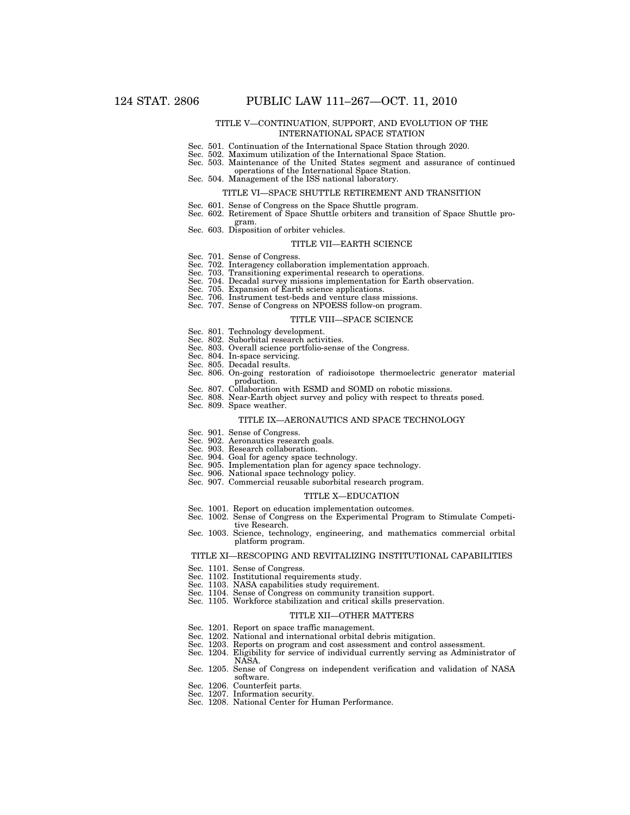#### TITLE V—CONTINUATION, SUPPORT, AND EVOLUTION OF THE INTERNATIONAL SPACE STATION

- Sec. 501. Continuation of the International Space Station through 2020.
- Sec. 502. Maximum utilization of the International Space Station.
- Sec. 503. Maintenance of the United States segment and assurance of continued operations of the International Space Station.
- Sec. 504. Management of the ISS national laboratory.

#### TITLE VI—SPACE SHUTTLE RETIREMENT AND TRANSITION

- 
- Sec. 601. Sense of Congress on the Space Shuttle program. Sec. 602. Retirement of Space Shuttle orbiters and transition of Space Shuttle pro-
- Sec. 603. Disposition of orbiter vehicles.

#### TITLE VII—EARTH SCIENCE

Sec. 701. Sense of Congress.

gram.

- Sec. 702. Interagency collaboration implementation approach.
- Sec. 703. Transitioning experimental research to operations.
- Sec. 704. Decadal survey missions implementation for Earth observation.
- Sec. 705. Expansion of Earth science applications.
- Sec. 706. Instrument test-beds and venture class missions. Sec. 707. Sense of Congress on NPOESS follow-on program.
	-

#### TITLE VIII—SPACE SCIENCE

- Sec. 801. Technology development. Sec. 802. Suborbital research activities.
- 
- Sec. 803. Overall science portfolio-sense of the Congress.
- Sec. 804. In-space servicing.
- Sec. 805. Decadal results.
- Sec. 806. On-going restoration of radioisotope thermoelectric generator material production.
- Sec. 807. Collaboration with ESMD and SOMD on robotic missions.
- Sec. 808. Near-Earth object survey and policy with respect to threats posed.
- Sec. 809. Space weather.

#### TITLE IX—AERONAUTICS AND SPACE TECHNOLOGY

- Sec. 901. Sense of Congress.
- Sec. 902. Aeronautics research goals.
- Sec. 903. Research collaboration.
- Sec. 904. Goal for agency space technology.
- Sec. 905. Implementation plan for agency space technology.
- Sec. 906. National space technology policy.
- Sec. 907. Commercial reusable suborbital research program.

#### TITLE X—EDUCATION

- Sec. 1001. Report on education implementation outcomes.
- Sec. 1002. Sense of Congress on the Experimental Program to Stimulate Competitive Research.
- Sec. 1003. Science, technology, engineering, and mathematics commercial orbital platform program.

#### TITLE XI—RESCOPING AND REVITALIZING INSTITUTIONAL CAPABILITIES

- Sec. 1101. Sense of Congress.
- Sec. 1102. Institutional requirements study.
- Sec. 1103. NASA capabilities study requirement.
- Sec. 1104. Sense of Congress on community transition support.
- Sec. 1105. Workforce stabilization and critical skills preservation.

#### TITLE XII—OTHER MATTERS

- Sec. 1201. Report on space traffic management.
- Sec. 1202. National and international orbital debris mitigation.
- Sec. 1203. Reports on program and cost assessment and control assessment.
- Sec. 1204. Eligibility for service of individual currently serving as Administrator of NASA.
- Sec. 1205. Sense of Congress on independent verification and validation of NASA software.
- Sec. 1206. Counterfeit parts.
- Sec. 1207. Information security.
- Sec. 1208. National Center for Human Performance.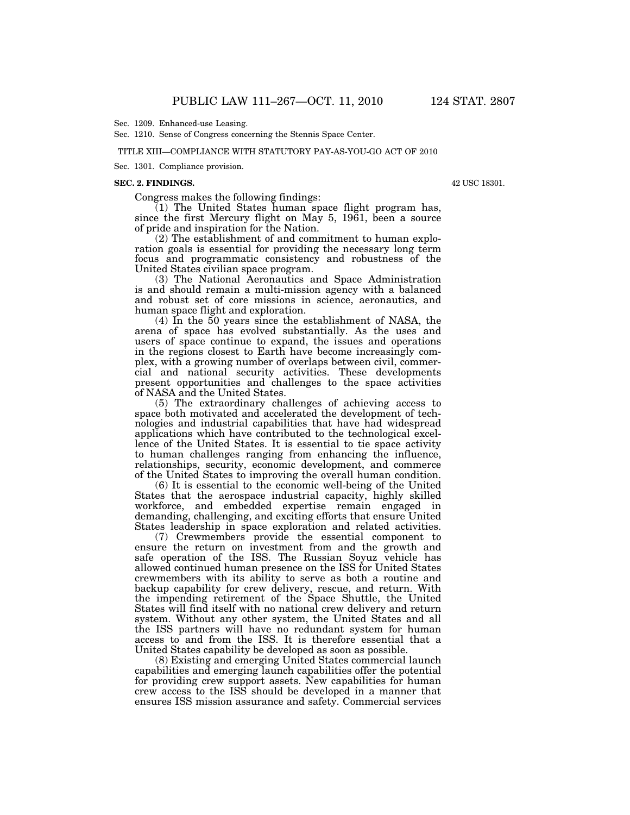Sec. 1209. Enhanced-use Leasing.

Sec. 1210. Sense of Congress concerning the Stennis Space Center.

#### TITLE XIII—COMPLIANCE WITH STATUTORY PAY-AS-YOU-GO ACT OF 2010

Sec. 1301. Compliance provision.

#### **SEC. 2. FINDINGS.**

Congress makes the following findings:

(1) The United States human space flight program has, since the first Mercury flight on May 5, 1961, been a source of pride and inspiration for the Nation.

(2) The establishment of and commitment to human exploration goals is essential for providing the necessary long term focus and programmatic consistency and robustness of the United States civilian space program.

(3) The National Aeronautics and Space Administration is and should remain a multi-mission agency with a balanced and robust set of core missions in science, aeronautics, and human space flight and exploration.

(4) In the 50 years since the establishment of NASA, the arena of space has evolved substantially. As the uses and users of space continue to expand, the issues and operations in the regions closest to Earth have become increasingly complex, with a growing number of overlaps between civil, commercial and national security activities. These developments present opportunities and challenges to the space activities of NASA and the United States.

(5) The extraordinary challenges of achieving access to space both motivated and accelerated the development of technologies and industrial capabilities that have had widespread applications which have contributed to the technological excellence of the United States. It is essential to tie space activity to human challenges ranging from enhancing the influence, relationships, security, economic development, and commerce of the United States to improving the overall human condition.

(6) It is essential to the economic well-being of the United States that the aerospace industrial capacity, highly skilled workforce, and embedded expertise remain engaged in demanding, challenging, and exciting efforts that ensure United States leadership in space exploration and related activities.

(7) Crewmembers provide the essential component to ensure the return on investment from and the growth and safe operation of the ISS. The Russian Soyuz vehicle has allowed continued human presence on the ISS for United States crewmembers with its ability to serve as both a routine and backup capability for crew delivery, rescue, and return. With the impending retirement of the Space Shuttle, the United States will find itself with no national crew delivery and return system. Without any other system, the United States and all the ISS partners will have no redundant system for human access to and from the ISS. It is therefore essential that a United States capability be developed as soon as possible.

(8) Existing and emerging United States commercial launch capabilities and emerging launch capabilities offer the potential for providing crew support assets. New capabilities for human crew access to the ISS should be developed in a manner that ensures ISS mission assurance and safety. Commercial services

42 USC 18301.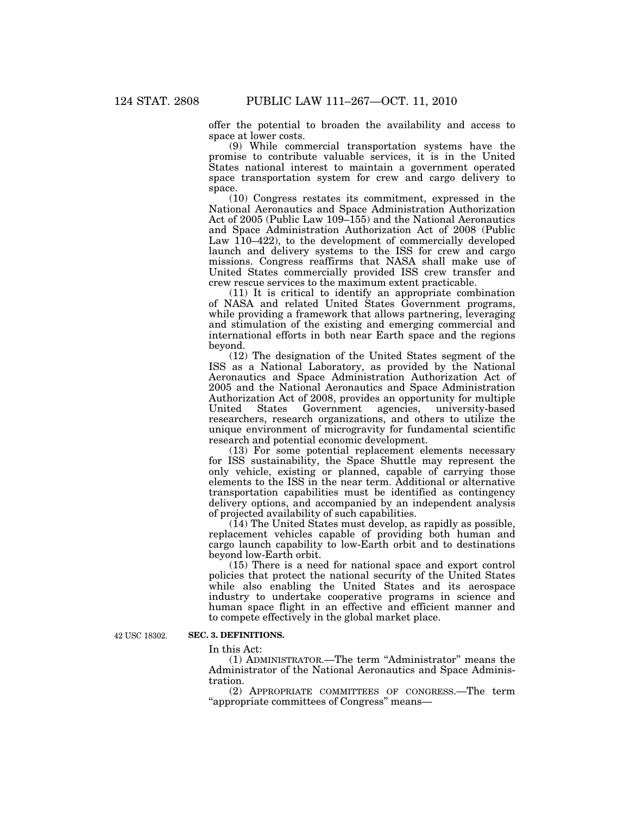offer the potential to broaden the availability and access to space at lower costs.

(9) While commercial transportation systems have the promise to contribute valuable services, it is in the United States national interest to maintain a government operated space transportation system for crew and cargo delivery to space.

(10) Congress restates its commitment, expressed in the National Aeronautics and Space Administration Authorization Act of 2005 (Public Law 109–155) and the National Aeronautics and Space Administration Authorization Act of 2008 (Public Law  $110-422$ , to the development of commercially developed launch and delivery systems to the ISS for crew and cargo missions. Congress reaffirms that NASA shall make use of United States commercially provided ISS crew transfer and crew rescue services to the maximum extent practicable.

(11) It is critical to identify an appropriate combination of NASA and related United States Government programs, while providing a framework that allows partnering, leveraging and stimulation of the existing and emerging commercial and international efforts in both near Earth space and the regions beyond.

(12) The designation of the United States segment of the ISS as a National Laboratory, as provided by the National Aeronautics and Space Administration Authorization Act of 2005 and the National Aeronautics and Space Administration Authorization Act of 2008, provides an opportunity for multiple<br>United States Government agencies, university-based Government agencies, university-based researchers, research organizations, and others to utilize the unique environment of microgravity for fundamental scientific research and potential economic development.

(13) For some potential replacement elements necessary for ISS sustainability, the Space Shuttle may represent the only vehicle, existing or planned, capable of carrying those elements to the ISS in the near term. Additional or alternative transportation capabilities must be identified as contingency delivery options, and accompanied by an independent analysis of projected availability of such capabilities.

(14) The United States must develop, as rapidly as possible, replacement vehicles capable of providing both human and cargo launch capability to low-Earth orbit and to destinations beyond low-Earth orbit.

(15) There is a need for national space and export control policies that protect the national security of the United States while also enabling the United States and its aerospace industry to undertake cooperative programs in science and human space flight in an effective and efficient manner and to compete effectively in the global market place.

42 USC 18302.

#### **SEC. 3. DEFINITIONS.**

In this Act:

(1) ADMINISTRATOR.—The term ''Administrator'' means the Administrator of the National Aeronautics and Space Administration.

(2) APPROPRIATE COMMITTEES OF CONGRESS.—The term ''appropriate committees of Congress'' means—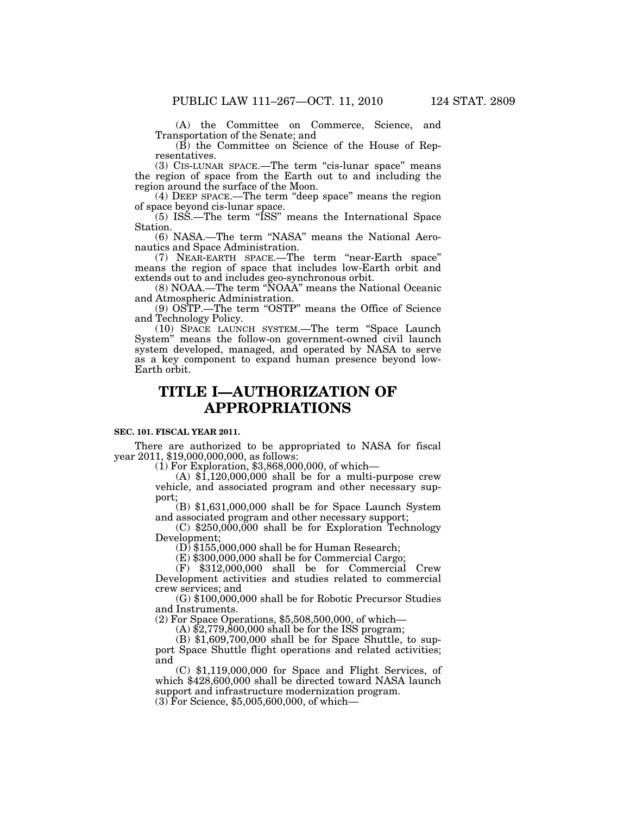(A) the Committee on Commerce, Science, and Transportation of the Senate; and

(B) the Committee on Science of the House of Representatives.

(3) CIS-LUNAR SPACE.—The term ''cis-lunar space'' means the region of space from the Earth out to and including the region around the surface of the Moon.

(4) DEEP SPACE.—The term ''deep space'' means the region of space beyond cis-lunar space.

(5) ISS.—The term ''ISS'' means the International Space Station.

(6) NASA.—The term ''NASA'' means the National Aeronautics and Space Administration.

(7) NEAR-EARTH SPACE.—The term ''near-Earth space'' means the region of space that includes low-Earth orbit and extends out to and includes geo-synchronous orbit.

(8) NOAA.—The term ''NOAA'' means the National Oceanic and Atmospheric Administration.

(9) OSTP.—The term ''OSTP'' means the Office of Science and Technology Policy.

(10) SPACE LAUNCH SYSTEM.—The term ''Space Launch System'' means the follow-on government-owned civil launch system developed, managed, and operated by NASA to serve as a key component to expand human presence beyond low-Earth orbit.

# **TITLE I—AUTHORIZATION OF APPROPRIATIONS**

#### **SEC. 101. FISCAL YEAR 2011.**

There are authorized to be appropriated to NASA for fiscal<br>year 2011, \$19,000,000,000, as follows:<br>(1) For Exploration, \$3,868,000,000, of which—<br>(A) \$1,120,000,000 shall be for a multi-purpose crew

vehicle, and associated program and other necessary sup-

 $(B)$  \$1,631,000,000 shall be for Space Launch System and associated program and other necessary support;

 $(C)$  \$250,000,000 shall be for Exploration Technology Development; (D) \$155,000,000 shall be for Human Research;

(E) \$300,000,000 shall be for Commercial Cargo;

(F) \$312,000,000 shall be for Commercial Crew Development activities and studies related to commercial crew services; and (G) \$100,000,000 shall be for Robotic Precursor Studies

and Instruments.

(2) For Space Operations, \$5,508,500,000, of which— (A) \$2,779,800,000 shall be for the ISS program;

(B) \$1,609,700,000 shall be for Space Shuttle, to support Space Shuttle flight operations and related activities; and

(C) \$1,119,000,000 for Space and Flight Services, of which \$428,600,000 shall be directed toward NASA launch support and infrastructure modernization program.  $(3)$  For Science, \$5,005,600,000, of which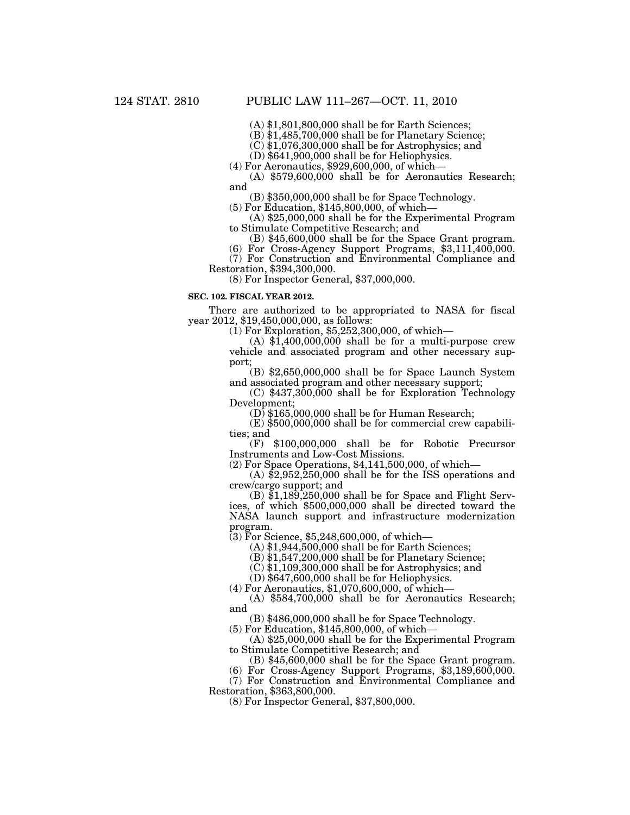(A) \$1,801,800,000 shall be for Earth Sciences;

(B) \$1,485,700,000 shall be for Planetary Science;

(C) \$1,076,300,000 shall be for Astrophysics; and

(D) \$641,900,000 shall be for Heliophysics.

(4) For Aeronautics, \$929,600,000, of which—

(A) \$579,600,000 shall be for Aeronautics Research; and

(B) \$350,000,000 shall be for Space Technology.

(5) For Education, \$145,800,000, of which—

(A) \$25,000,000 shall be for the Experimental Program to Stimulate Competitive Research; and

(B) \$45,600,000 shall be for the Space Grant program.

(6) For Cross-Agency Support Programs, \$3,111,400,000. (7) For Construction and Environmental Compliance and Restoration, \$394,300,000.

(8) For Inspector General, \$37,000,000.

#### **SEC. 102. FISCAL YEAR 2012.**

There are authorized to be appropriated to NASA for fiscal year 2012, \$19,450,000,000, as follows:

(1) For Exploration, \$5,252,300,000, of which—

 $(A)$  \$1,400,000,000 shall be for a multi-purpose crew vehicle and associated program and other necessary support;

 $(B)$  \$2,650,000,000 shall be for Space Launch System and associated program and other necessary support;

(C) \$437,300,000 shall be for Exploration Technology Development;

 $(D)$  \$165,000,000 shall be for Human Research;

(E) \$500,000,000 shall be for commercial crew capabilities; and

(F) \$100,000,000 shall be for Robotic Precursor Instruments and Low-Cost Missions.

(2) For Space Operations, \$4,141,500,000, of which—

 $(A)$  \$2,952,250,000 shall be for the ISS operations and crew/cargo support; and

 $(B)$  \$1,189,250,000 shall be for Space and Flight Services, of which \$500,000,000 shall be directed toward the NASA launch support and infrastructure modernization program.

 $(3)$  For Science, \$5,248,600,000, of which-

(A) \$1,944,500,000 shall be for Earth Sciences;

(B) \$1,547,200,000 shall be for Planetary Science;

(C) \$1,109,300,000 shall be for Astrophysics; and

(D) \$647,600,000 shall be for Heliophysics.

(4) For Aeronautics, \$1,070,600,000, of which—

(A) \$584,700,000 shall be for Aeronautics Research; and

(B) \$486,000,000 shall be for Space Technology.

(5) For Education, \$145,800,000, of which—

(A) \$25,000,000 shall be for the Experimental Program to Stimulate Competitive Research; and

(B) \$45,600,000 shall be for the Space Grant program.

(6) For Cross-Agency Support Programs, \$3,189,600,000.

(7) For Construction and Environmental Compliance and Restoration, \$363,800,000.

(8) For Inspector General, \$37,800,000.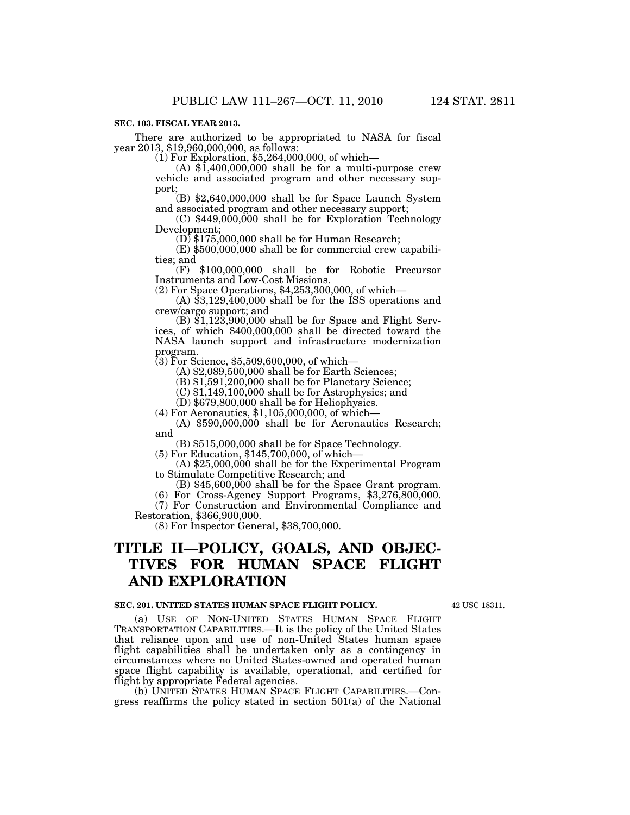### **SEC. 103. FISCAL YEAR 2013.**

There are authorized to be appropriated to NASA for fiscal<br>year 2013, \$19,960,000,000, as follows:<br>(1) For Exploration, \$5,264,000,000, of which—<br>(A) \$1,400,000,000 shall be for a multi-purpose crew

vehicle and associated program and other necessary sup-

port;<br>
(B) \$2,640,000,000 shall be for Space Launch System<br>
and associated program and other necessary support;

 $(C)$  \$449,000,000 shall be for Exploration Technology Development;

 $(D)$  \$175,000,000 shall be for Human Research;

(E) \$500,000,000 shall be for commercial crew capabilities; and (F) \$100,000,000 shall be for Robotic Precursor

Instruments and Low-Cost Missions.<br>(2) For Space Operations, \$4,253,300,000, of which—

(A)  $$3,129,400,000$  shall be for the ISS operations and crew/cargo support; and

(B)  $$1,123,900,000$  shall be for Space and Flight Serv-<br>ices, of which  $$400,000,000$  shall be directed toward the NASA launch support and infrastructure modernization program.

(3) For Science, \$5,509,600,000, of which—

(A) \$2,089,500,000 shall be for Earth Sciences;

(B) \$1,591,200,000 shall be for Planetary Science;

 $(C)$ \$1,149,100,000 shall be for Astrophysics; and

 $(D)$  \$679,800,000 shall be for Heliophysics.

(4) For Aeronautics, \$1,105,000,000, of which—

(A) \$590,000,000 shall be for Aeronautics Research; and

(B) \$515,000,000 shall be for Space Technology.

(5) For Education, \$145,700,000, of which—

(A) \$25,000,000 shall be for the Experimental Program to Stimulate Competitive Research; and (B) \$45,600,000 shall be for the Space Grant program. (6) For Cross-Agency Support Programs, \$3,276,800,000.

(7) For Construction and Environmental Compliance and Restoration, \$366,900,000.

(8) For Inspector General, \$38,700,000.

# **TITLE II—POLICY, GOALS, AND OBJEC-TIVES FOR HUMAN SPACE FLIGHT AND EXPLORATION**

#### **SEC. 201. UNITED STATES HUMAN SPACE FLIGHT POLICY.**

42 USC 18311.

(a) USE OF NON-UNITED STATES HUMAN SPACE FLIGHT TRANSPORTATION CAPABILITIES.—It is the policy of the United States that reliance upon and use of non-United States human space flight capabilities shall be undertaken only as a contingency in circumstances where no United States-owned and operated human space flight capability is available, operational, and certified for flight by appropriate Federal agencies.

(b) UNITED STATES HUMAN SPACE FLIGHT CAPABILITIES.—Congress reaffirms the policy stated in section 501(a) of the National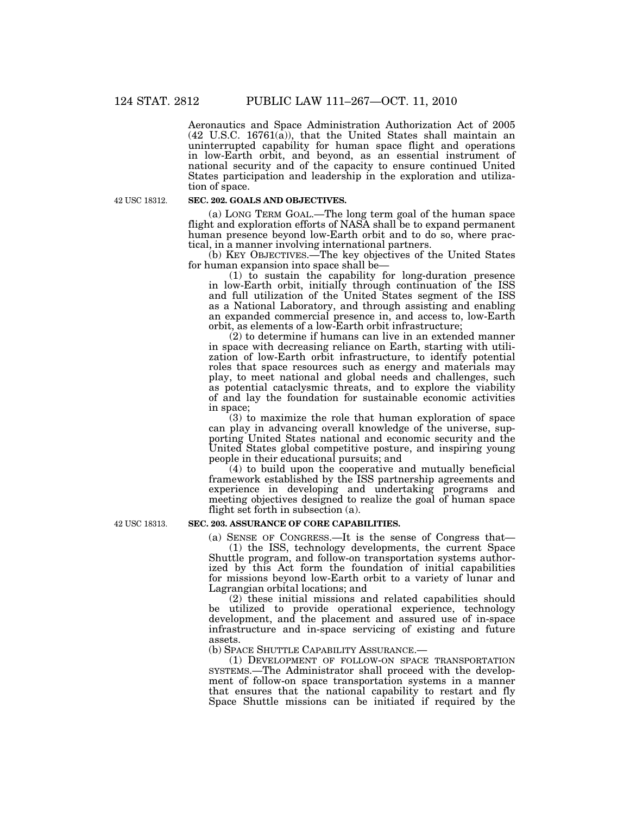Aeronautics and Space Administration Authorization Act of 2005 (42 U.S.C. 16761(a)), that the United States shall maintain an uninterrupted capability for human space flight and operations in low-Earth orbit, and beyond, as an essential instrument of national security and of the capacity to ensure continued United States participation and leadership in the exploration and utilization of space.

42 USC 18312.

# **SEC. 202. GOALS AND OBJECTIVES.**

(a) LONG TERM GOAL.—The long term goal of the human space flight and exploration efforts of NASA shall be to expand permanent human presence beyond low-Earth orbit and to do so, where practical, in a manner involving international partners.

(b) KEY OBJECTIVES.—The key objectives of the United States for human expansion into space shall be—

(1) to sustain the capability for long-duration presence in low-Earth orbit, initially through continuation of the ISS and full utilization of the United States segment of the ISS as a National Laboratory, and through assisting and enabling an expanded commercial presence in, and access to, low-Earth orbit, as elements of a low-Earth orbit infrastructure;

(2) to determine if humans can live in an extended manner in space with decreasing reliance on Earth, starting with utilization of low-Earth orbit infrastructure, to identify potential roles that space resources such as energy and materials may play, to meet national and global needs and challenges, such as potential cataclysmic threats, and to explore the viability of and lay the foundation for sustainable economic activities in space;

(3) to maximize the role that human exploration of space can play in advancing overall knowledge of the universe, supporting United States national and economic security and the United States global competitive posture, and inspiring young people in their educational pursuits; and

(4) to build upon the cooperative and mutually beneficial framework established by the ISS partnership agreements and experience in developing and undertaking programs and meeting objectives designed to realize the goal of human space flight set forth in subsection (a).

42 USC 18313.

#### **SEC. 203. ASSURANCE OF CORE CAPABILITIES.**

(a) SENSE OF CONGRESS.—It is the sense of Congress that— (1) the ISS, technology developments, the current Space Shuttle program, and follow-on transportation systems authorized by this Act form the foundation of initial capabilities for missions beyond low-Earth orbit to a variety of lunar and Lagrangian orbital locations; and

(2) these initial missions and related capabilities should be utilized to provide operational experience, technology development, and the placement and assured use of in-space infrastructure and in-space servicing of existing and future assets.

(b) SPACE SHUTTLE CAPABILITY ASSURANCE.—

(1) DEVELOPMENT OF FOLLOW-ON SPACE TRANSPORTATION SYSTEMS.—The Administrator shall proceed with the development of follow-on space transportation systems in a manner that ensures that the national capability to restart and fly Space Shuttle missions can be initiated if required by the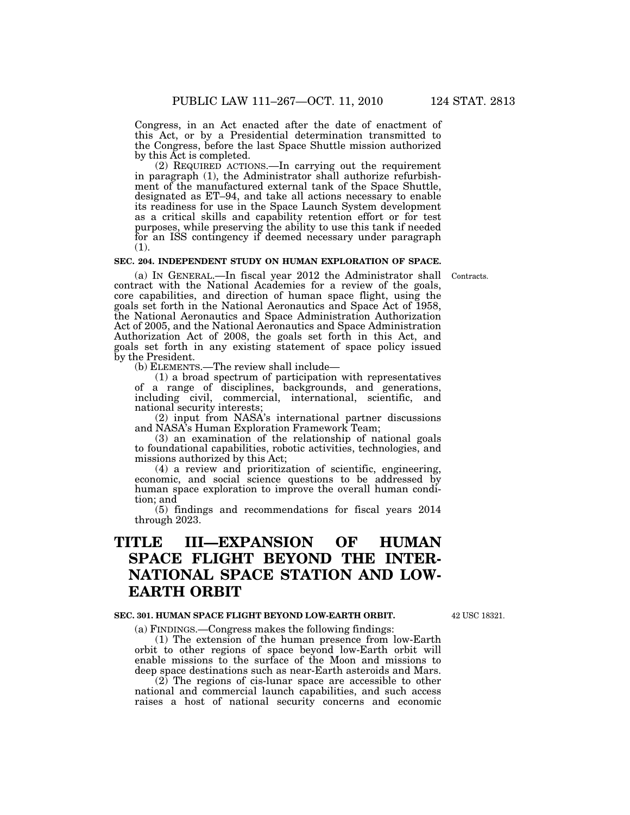Congress, in an Act enacted after the date of enactment of this Act, or by a Presidential determination transmitted to the Congress, before the last Space Shuttle mission authorized by this Act is completed.

(2) REQUIRED ACTIONS.—In carrying out the requirement in paragraph (1), the Administrator shall authorize refurbishment of the manufactured external tank of the Space Shuttle, designated as ET–94, and take all actions necessary to enable its readiness for use in the Space Launch System development as a critical skills and capability retention effort or for test purposes, while preserving the ability to use this tank if needed for an ISS contingency if deemed necessary under paragraph (1).

# **SEC. 204. INDEPENDENT STUDY ON HUMAN EXPLORATION OF SPACE.**

(a) IN GENERAL.—In fiscal year 2012 the Administrator shall Contracts. contract with the National Academies for a review of the goals, core capabilities, and direction of human space flight, using the goals set forth in the National Aeronautics and Space Act of 1958, the National Aeronautics and Space Administration Authorization Act of 2005, and the National Aeronautics and Space Administration Authorization Act of 2008, the goals set forth in this Act, and goals set forth in any existing statement of space policy issued by the President.

(b) ELEMENTS.—The review shall include—

(1) a broad spectrum of participation with representatives of a range of disciplines, backgrounds, and generations, including civil, commercial, international, scientific, and national security interests;

(2) input from NASA's international partner discussions and NASA's Human Exploration Framework Team;

(3) an examination of the relationship of national goals to foundational capabilities, robotic activities, technologies, and missions authorized by this Act;

(4) a review and prioritization of scientific, engineering, economic, and social science questions to be addressed by human space exploration to improve the overall human condition; and

(5) findings and recommendations for fiscal years 2014 through 2023.

# **TITLE III—EXPANSION OF HUMAN SPACE FLIGHT BEYOND THE INTER-NATIONAL SPACE STATION AND LOW-EARTH ORBIT**

#### **SEC. 301. HUMAN SPACE FLIGHT BEYOND LOW-EARTH ORBIT.**

42 USC 18321.

(a) FINDINGS.—Congress makes the following findings:

(1) The extension of the human presence from low-Earth orbit to other regions of space beyond low-Earth orbit will enable missions to the surface of the Moon and missions to deep space destinations such as near-Earth asteroids and Mars.

(2) The regions of cis-lunar space are accessible to other national and commercial launch capabilities, and such access raises a host of national security concerns and economic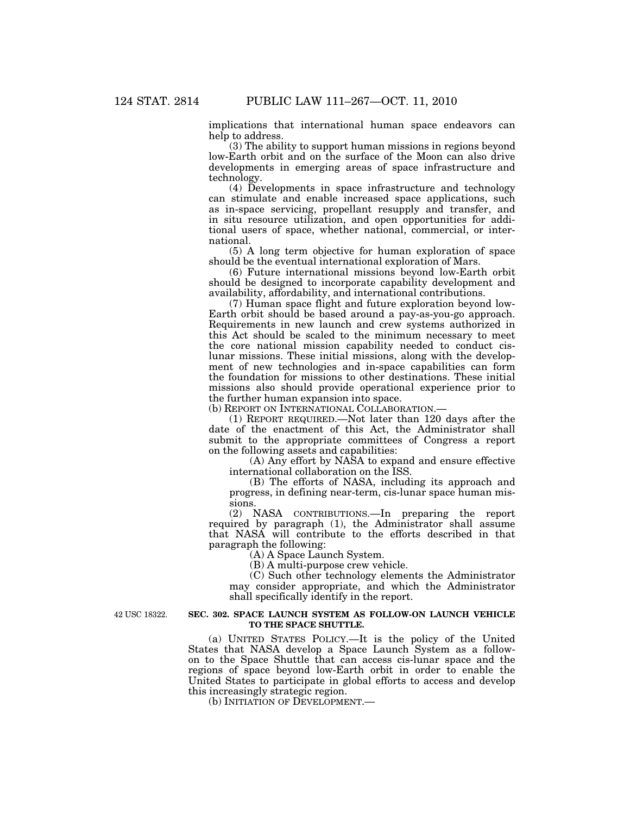implications that international human space endeavors can help to address.

(3) The ability to support human missions in regions beyond low-Earth orbit and on the surface of the Moon can also drive developments in emerging areas of space infrastructure and technology.

(4) Developments in space infrastructure and technology can stimulate and enable increased space applications, such as in-space servicing, propellant resupply and transfer, and in situ resource utilization, and open opportunities for additional users of space, whether national, commercial, or international.

(5) A long term objective for human exploration of space should be the eventual international exploration of Mars.

(6) Future international missions beyond low-Earth orbit should be designed to incorporate capability development and availability, affordability, and international contributions.

(7) Human space flight and future exploration beyond low-Earth orbit should be based around a pay-as-you-go approach. Requirements in new launch and crew systems authorized in this Act should be scaled to the minimum necessary to meet the core national mission capability needed to conduct cislunar missions. These initial missions, along with the development of new technologies and in-space capabilities can form the foundation for missions to other destinations. These initial missions also should provide operational experience prior to the further human expansion into space.

(b) REPORT ON INTERNATIONAL COLLABORATION.—

(1) REPORT REQUIRED.—Not later than 120 days after the date of the enactment of this Act, the Administrator shall submit to the appropriate committees of Congress a report on the following assets and capabilities:

(A) Any effort by NASA to expand and ensure effective international collaboration on the ISS.

(B) The efforts of NASA, including its approach and progress, in defining near-term, cis-lunar space human missions.

(2) NASA CONTRIBUTIONS.—In preparing the report required by paragraph (1), the Administrator shall assume that NASA will contribute to the efforts described in that paragraph the following:

(A) A Space Launch System.

(B) A multi-purpose crew vehicle.

(C) Such other technology elements the Administrator may consider appropriate, and which the Administrator shall specifically identify in the report.

42 USC 18322.

#### **SEC. 302. SPACE LAUNCH SYSTEM AS FOLLOW-ON LAUNCH VEHICLE TO THE SPACE SHUTTLE.**

(a) UNITED STATES POLICY.—It is the policy of the United States that NASA develop a Space Launch System as a followon to the Space Shuttle that can access cis-lunar space and the regions of space beyond low-Earth orbit in order to enable the United States to participate in global efforts to access and develop this increasingly strategic region.

(b) INITIATION OF DEVELOPMENT.—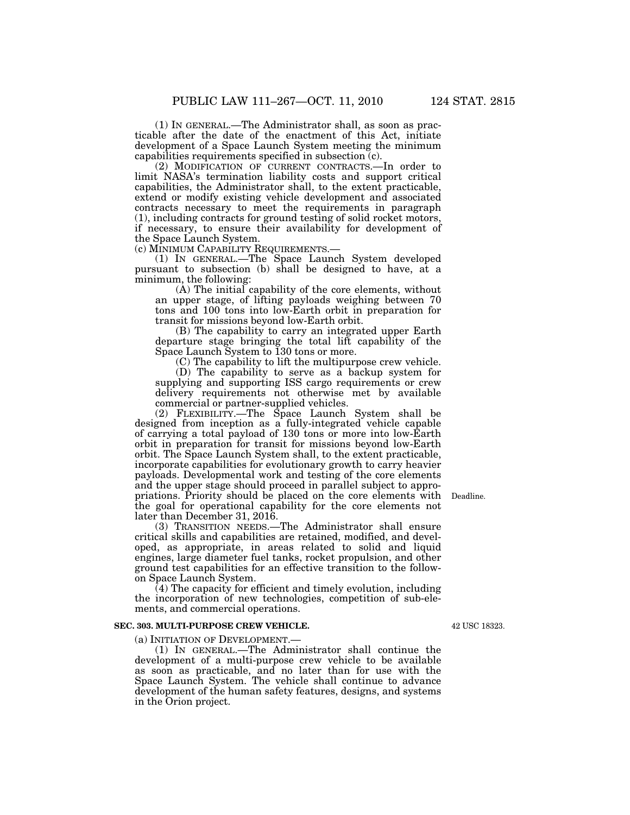(1) IN GENERAL.—The Administrator shall, as soon as practicable after the date of the enactment of this Act, initiate development of a Space Launch System meeting the minimum capabilities requirements specified in subsection (c).

(2) MODIFICATION OF CURRENT CONTRACTS.—In order to limit NASA's termination liability costs and support critical capabilities, the Administrator shall, to the extent practicable, extend or modify existing vehicle development and associated contracts necessary to meet the requirements in paragraph (1), including contracts for ground testing of solid rocket motors, if necessary, to ensure their availability for development of the Space Launch System.<br>(c) MINIMUM CAPABILITY REQUIREMENTS.—

(1) IN GENERAL.—The Space Launch System developed pursuant to subsection (b) shall be designed to have, at a minimum, the following:

(A) The initial capability of the core elements, without an upper stage, of lifting payloads weighing between 70 tons and 100 tons into low-Earth orbit in preparation for transit for missions beyond low-Earth orbit.

(B) The capability to carry an integrated upper Earth departure stage bringing the total lift capability of the Space Launch System to 130 tons or more.

(C) The capability to lift the multipurpose crew vehicle.

(D) The capability to serve as a backup system for supplying and supporting ISS cargo requirements or crew delivery requirements not otherwise met by available commercial or partner-supplied vehicles.

(2) FLEXIBILITY.—The Space Launch System shall be designed from inception as a fully-integrated vehicle capable of carrying a total payload of 130 tons or more into low-Earth orbit in preparation for transit for missions beyond low-Earth orbit. The Space Launch System shall, to the extent practicable, incorporate capabilities for evolutionary growth to carry heavier payloads. Developmental work and testing of the core elements and the upper stage should proceed in parallel subject to appropriations. Priority should be placed on the core elements with Deadline. the goal for operational capability for the core elements not later than December 31, 2016.

(3) TRANSITION NEEDS.—The Administrator shall ensure critical skills and capabilities are retained, modified, and developed, as appropriate, in areas related to solid and liquid engines, large diameter fuel tanks, rocket propulsion, and other ground test capabilities for an effective transition to the followon Space Launch System.

(4) The capacity for efficient and timely evolution, including the incorporation of new technologies, competition of sub-elements, and commercial operations.

#### **SEC. 303. MULTI-PURPOSE CREW VEHICLE.**

(a) INITIATION OF DEVELOPMENT.— (1) IN GENERAL.—The Administrator shall continue the development of a multi-purpose crew vehicle to be available as soon as practicable, and no later than for use with the Space Launch System. The vehicle shall continue to advance development of the human safety features, designs, and systems in the Orion project.

42 USC 18323.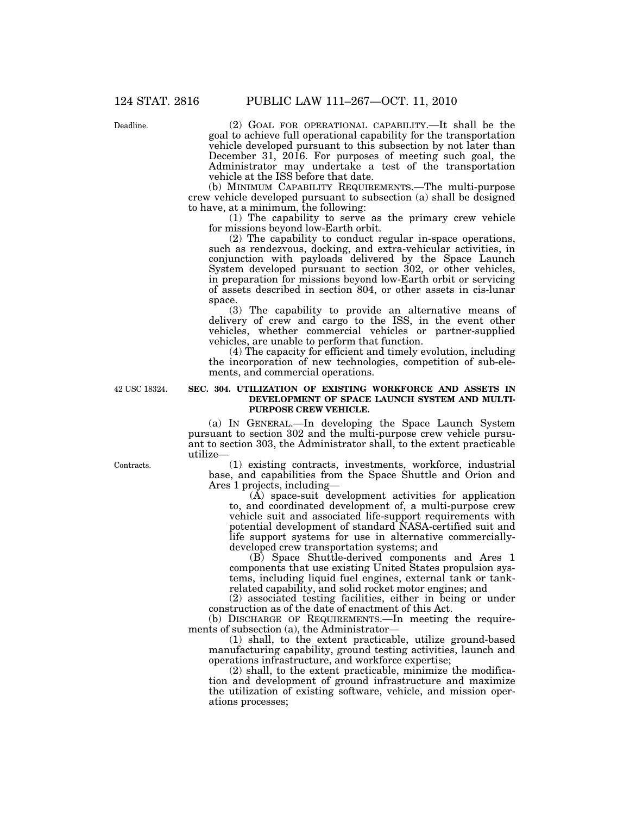Deadline.

(2) GOAL FOR OPERATIONAL CAPABILITY.—It shall be the goal to achieve full operational capability for the transportation vehicle developed pursuant to this subsection by not later than December 31, 2016. For purposes of meeting such goal, the Administrator may undertake a test of the transportation vehicle at the ISS before that date.

(b) MINIMUM CAPABILITY REQUIREMENTS.—The multi-purpose crew vehicle developed pursuant to subsection (a) shall be designed to have, at a minimum, the following:

(1) The capability to serve as the primary crew vehicle for missions beyond low-Earth orbit.

(2) The capability to conduct regular in-space operations, such as rendezvous, docking, and extra-vehicular activities, in conjunction with payloads delivered by the Space Launch System developed pursuant to section 302, or other vehicles, in preparation for missions beyond low-Earth orbit or servicing of assets described in section 804, or other assets in cis-lunar space.

(3) The capability to provide an alternative means of delivery of crew and cargo to the ISS, in the event other vehicles, whether commercial vehicles or partner-supplied vehicles, are unable to perform that function.

(4) The capacity for efficient and timely evolution, including the incorporation of new technologies, competition of sub-elements, and commercial operations.

42 USC 18324.

## **SEC. 304. UTILIZATION OF EXISTING WORKFORCE AND ASSETS IN DEVELOPMENT OF SPACE LAUNCH SYSTEM AND MULTI-PURPOSE CREW VEHICLE.**

(a) IN GENERAL.—In developing the Space Launch System pursuant to section 302 and the multi-purpose crew vehicle pursuant to section 303, the Administrator shall, to the extent practicable utilize—

(1) existing contracts, investments, workforce, industrial base, and capabilities from the Space Shuttle and Orion and Ares 1 projects, including—

(A) space-suit development activities for application to, and coordinated development of, a multi-purpose crew vehicle suit and associated life-support requirements with potential development of standard NASA-certified suit and life support systems for use in alternative commerciallydeveloped crew transportation systems; and

(B) Space Shuttle-derived components and Ares 1 components that use existing United States propulsion systems, including liquid fuel engines, external tank or tankrelated capability, and solid rocket motor engines; and

(2) associated testing facilities, either in being or under construction as of the date of enactment of this Act.

(b) DISCHARGE OF REQUIREMENTS.—In meeting the requirements of subsection (a), the Administrator-

(1) shall, to the extent practicable, utilize ground-based manufacturing capability, ground testing activities, launch and operations infrastructure, and workforce expertise;

(2) shall, to the extent practicable, minimize the modification and development of ground infrastructure and maximize the utilization of existing software, vehicle, and mission operations processes;

Contracts.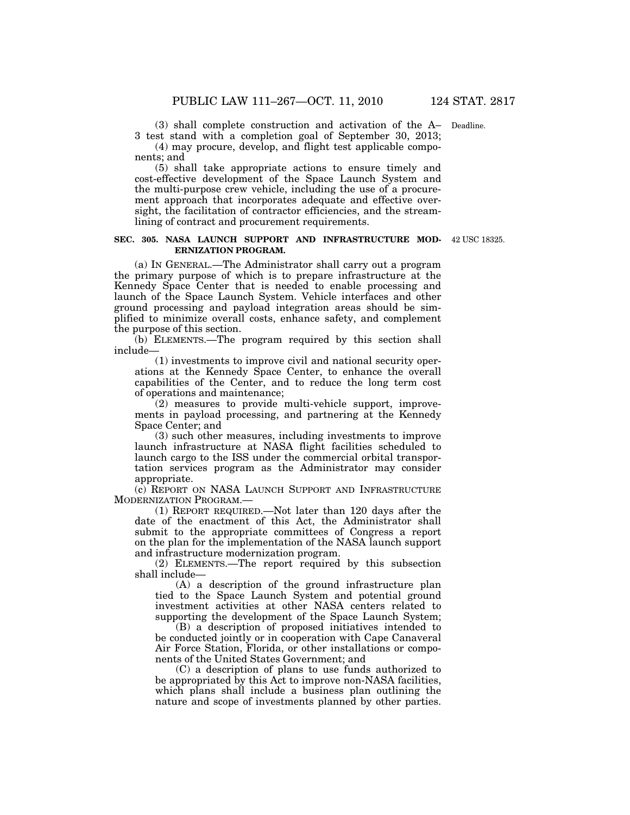(3) shall complete construction and activation of the A– Deadline. 3 test stand with a completion goal of September 30, 2013;

(4) may procure, develop, and flight test applicable components; and

(5) shall take appropriate actions to ensure timely and cost-effective development of the Space Launch System and the multi-purpose crew vehicle, including the use of a procurement approach that incorporates adequate and effective oversight, the facilitation of contractor efficiencies, and the streamlining of contract and procurement requirements.

#### **SEC. 305. NASA LAUNCH SUPPORT AND INFRASTRUCTURE MOD-**42 USC 18325. **ERNIZATION PROGRAM.**

(a) IN GENERAL.—The Administrator shall carry out a program the primary purpose of which is to prepare infrastructure at the Kennedy Space Center that is needed to enable processing and launch of the Space Launch System. Vehicle interfaces and other ground processing and payload integration areas should be simplified to minimize overall costs, enhance safety, and complement the purpose of this section.

(b) ELEMENTS.—The program required by this section shall include—

(1) investments to improve civil and national security operations at the Kennedy Space Center, to enhance the overall capabilities of the Center, and to reduce the long term cost of operations and maintenance;

(2) measures to provide multi-vehicle support, improvements in payload processing, and partnering at the Kennedy Space Center; and

(3) such other measures, including investments to improve launch infrastructure at NASA flight facilities scheduled to launch cargo to the ISS under the commercial orbital transportation services program as the Administrator may consider appropriate.

(c) REPORT ON NASA LAUNCH SUPPORT AND INFRASTRUCTURE MODERNIZATION PROGRAM.—

(1) REPORT REQUIRED.—Not later than 120 days after the date of the enactment of this Act, the Administrator shall submit to the appropriate committees of Congress a report on the plan for the implementation of the NASA launch support and infrastructure modernization program.

(2) ELEMENTS.—The report required by this subsection shall include—

(A) a description of the ground infrastructure plan tied to the Space Launch System and potential ground investment activities at other NASA centers related to supporting the development of the Space Launch System;

(B) a description of proposed initiatives intended to be conducted jointly or in cooperation with Cape Canaveral Air Force Station, Florida, or other installations or components of the United States Government; and

(C) a description of plans to use funds authorized to be appropriated by this Act to improve non-NASA facilities, which plans shall include a business plan outlining the nature and scope of investments planned by other parties.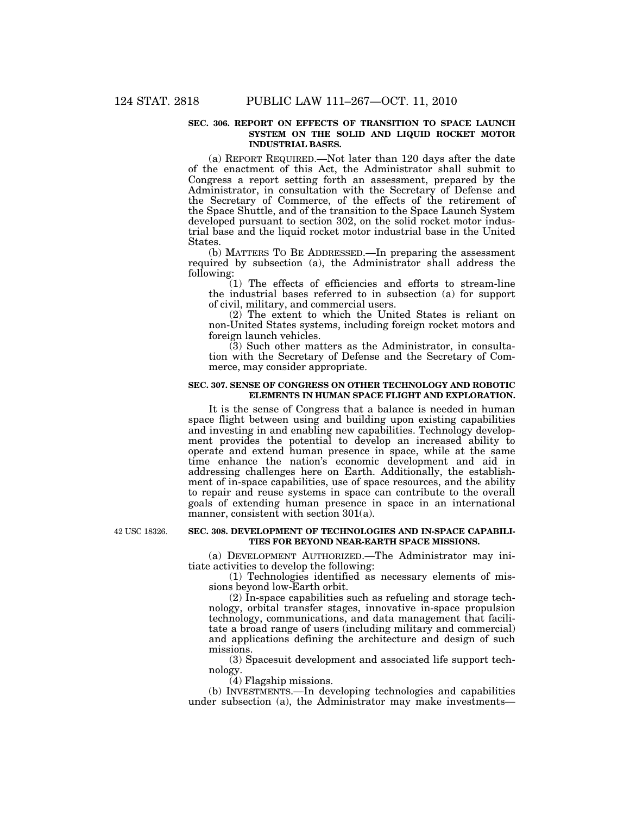#### **SEC. 306. REPORT ON EFFECTS OF TRANSITION TO SPACE LAUNCH SYSTEM ON THE SOLID AND LIQUID ROCKET MOTOR INDUSTRIAL BASES.**

(a) REPORT REQUIRED.—Not later than 120 days after the date of the enactment of this Act, the Administrator shall submit to Congress a report setting forth an assessment, prepared by the Administrator, in consultation with the Secretary of Defense and the Secretary of Commerce, of the effects of the retirement of the Space Shuttle, and of the transition to the Space Launch System developed pursuant to section 302, on the solid rocket motor industrial base and the liquid rocket motor industrial base in the United States.

(b) MATTERS TO BE ADDRESSED.—In preparing the assessment required by subsection (a), the Administrator shall address the following:

(1) The effects of efficiencies and efforts to stream-line the industrial bases referred to in subsection (a) for support of civil, military, and commercial users.

(2) The extent to which the United States is reliant on non-United States systems, including foreign rocket motors and foreign launch vehicles.

(3) Such other matters as the Administrator, in consultation with the Secretary of Defense and the Secretary of Commerce, may consider appropriate.

# **SEC. 307. SENSE OF CONGRESS ON OTHER TECHNOLOGY AND ROBOTIC ELEMENTS IN HUMAN SPACE FLIGHT AND EXPLORATION.**

It is the sense of Congress that a balance is needed in human space flight between using and building upon existing capabilities and investing in and enabling new capabilities. Technology development provides the potential to develop an increased ability to operate and extend human presence in space, while at the same time enhance the nation's economic development and aid in addressing challenges here on Earth. Additionally, the establishment of in-space capabilities, use of space resources, and the ability to repair and reuse systems in space can contribute to the overall goals of extending human presence in space in an international manner, consistent with section 301(a).

42 USC 18326.

#### **SEC. 308. DEVELOPMENT OF TECHNOLOGIES AND IN-SPACE CAPABILI-TIES FOR BEYOND NEAR-EARTH SPACE MISSIONS.**

(a) DEVELOPMENT AUTHORIZED.—The Administrator may initiate activities to develop the following:

(1) Technologies identified as necessary elements of missions beyond low-Earth orbit.

(2) In-space capabilities such as refueling and storage technology, orbital transfer stages, innovative in-space propulsion technology, communications, and data management that facilitate a broad range of users (including military and commercial) and applications defining the architecture and design of such missions.

(3) Spacesuit development and associated life support technology.

(4) Flagship missions.

(b) INVESTMENTS.—In developing technologies and capabilities under subsection (a), the Administrator may make investments—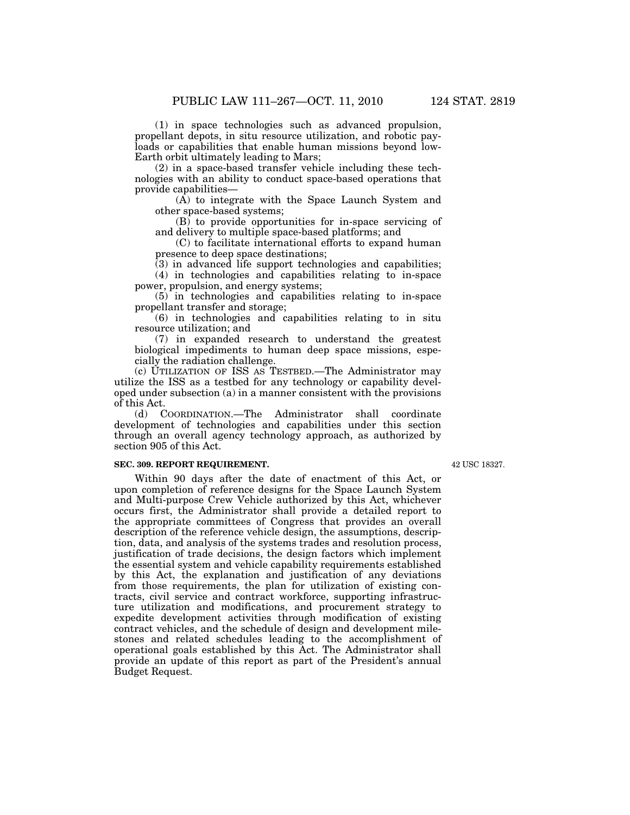(1) in space technologies such as advanced propulsion, propellant depots, in situ resource utilization, and robotic payloads or capabilities that enable human missions beyond low-Earth orbit ultimately leading to Mars;

(2) in a space-based transfer vehicle including these technologies with an ability to conduct space-based operations that provide capabilities—

(A) to integrate with the Space Launch System and other space-based systems;

(B) to provide opportunities for in-space servicing of and delivery to multiple space-based platforms; and

(C) to facilitate international efforts to expand human presence to deep space destinations;

(3) in advanced life support technologies and capabilities; (4) in technologies and capabilities relating to in-space power, propulsion, and energy systems;

(5) in technologies and capabilities relating to in-space propellant transfer and storage;

(6) in technologies and capabilities relating to in situ resource utilization; and

(7) in expanded research to understand the greatest biological impediments to human deep space missions, especially the radiation challenge.

(c) UTILIZATION OF ISS AS TESTBED.—The Administrator may utilize the ISS as a testbed for any technology or capability developed under subsection (a) in a manner consistent with the provisions of this Act.

(d) COORDINATION.—The Administrator shall coordinate development of technologies and capabilities under this section through an overall agency technology approach, as authorized by section 905 of this Act.

# **SEC. 309. REPORT REQUIREMENT.**

Within 90 days after the date of enactment of this Act, or upon completion of reference designs for the Space Launch System and Multi-purpose Crew Vehicle authorized by this Act, whichever occurs first, the Administrator shall provide a detailed report to the appropriate committees of Congress that provides an overall description of the reference vehicle design, the assumptions, description, data, and analysis of the systems trades and resolution process, justification of trade decisions, the design factors which implement the essential system and vehicle capability requirements established by this Act, the explanation and justification of any deviations from those requirements, the plan for utilization of existing contracts, civil service and contract workforce, supporting infrastructure utilization and modifications, and procurement strategy to expedite development activities through modification of existing contract vehicles, and the schedule of design and development milestones and related schedules leading to the accomplishment of operational goals established by this Act. The Administrator shall provide an update of this report as part of the President's annual Budget Request.

42 USC 18327.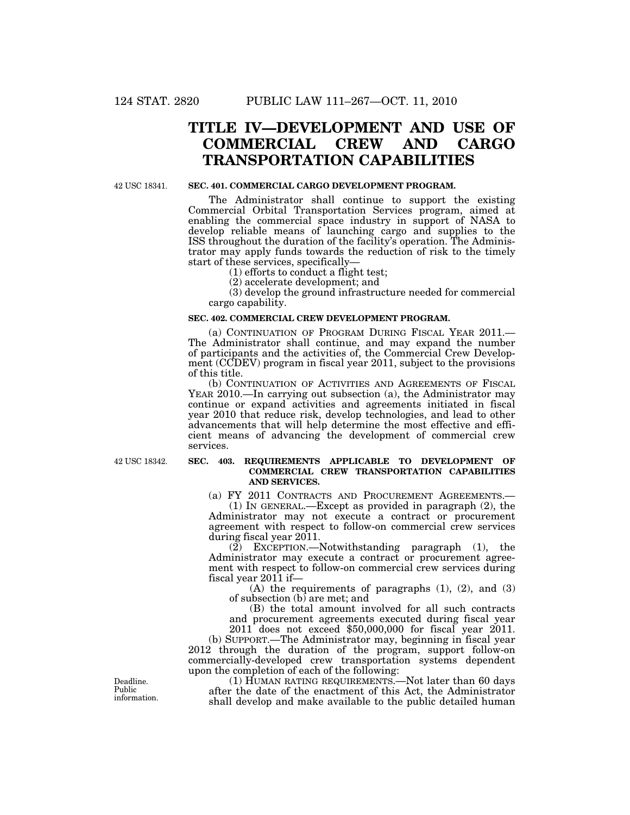# **TITLE IV—DEVELOPMENT AND USE OF COMMERCIAL CREW AND CARGO TRANSPORTATION CAPABILITIES**

42 USC 18341.

## **SEC. 401. COMMERCIAL CARGO DEVELOPMENT PROGRAM.**

The Administrator shall continue to support the existing Commercial Orbital Transportation Services program, aimed at enabling the commercial space industry in support of NASA to develop reliable means of launching cargo and supplies to the ISS throughout the duration of the facility's operation. The Administrator may apply funds towards the reduction of risk to the timely start of these services, specifically—

(1) efforts to conduct a flight test;

(2) accelerate development; and

(3) develop the ground infrastructure needed for commercial cargo capability.

#### **SEC. 402. COMMERCIAL CREW DEVELOPMENT PROGRAM.**

(a) CONTINUATION OF PROGRAM DURING FISCAL YEAR 2011.— The Administrator shall continue, and may expand the number of participants and the activities of, the Commercial Crew Development (CCDEV) program in fiscal year 2011, subject to the provisions of this title.

(b) CONTINUATION OF ACTIVITIES AND AGREEMENTS OF FISCAL YEAR 2010.—In carrying out subsection (a), the Administrator may continue or expand activities and agreements initiated in fiscal year 2010 that reduce risk, develop technologies, and lead to other advancements that will help determine the most effective and efficient means of advancing the development of commercial crew services.

42 USC 18342.

## **SEC. 403. REQUIREMENTS APPLICABLE TO DEVELOPMENT OF COMMERCIAL CREW TRANSPORTATION CAPABILITIES AND SERVICES.**

(a) FY 2011 CONTRACTS AND PROCUREMENT AGREEMENTS.—

(1) IN GENERAL.—Except as provided in paragraph (2), the Administrator may not execute a contract or procurement agreement with respect to follow-on commercial crew services during fiscal year 2011.

(2) EXCEPTION.—Notwithstanding paragraph (1), the Administrator may execute a contract or procurement agreement with respect to follow-on commercial crew services during fiscal year 2011 if—

(A) the requirements of paragraphs (1), (2), and (3) of subsection (b) are met; and

(B) the total amount involved for all such contracts and procurement agreements executed during fiscal year 2011 does not exceed \$50,000,000 for fiscal year 2011.

(b) SUPPORT.—The Administrator may, beginning in fiscal year 2012 through the duration of the program, support follow-on commercially-developed crew transportation systems dependent upon the completion of each of the following:

(1) HUMAN RATING REQUIREMENTS.—Not later than 60 days after the date of the enactment of this Act, the Administrator shall develop and make available to the public detailed human

Deadline. Public information.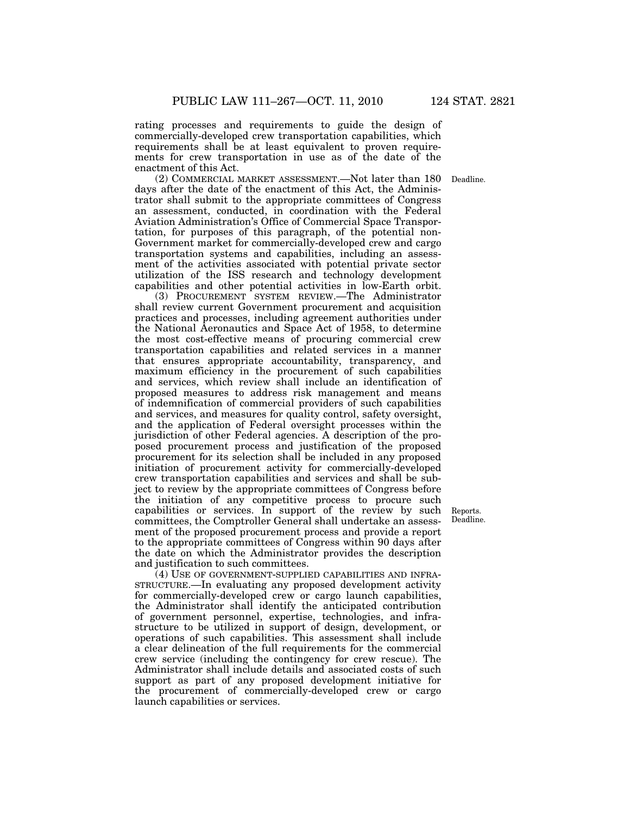rating processes and requirements to guide the design of commercially-developed crew transportation capabilities, which requirements shall be at least equivalent to proven requirements for crew transportation in use as of the date of the enactment of this Act.

(2) COMMERCIAL MARKET ASSESSMENT.—Not later than 180 Deadline. days after the date of the enactment of this Act, the Administrator shall submit to the appropriate committees of Congress an assessment, conducted, in coordination with the Federal Aviation Administration's Office of Commercial Space Transportation, for purposes of this paragraph, of the potential non-Government market for commercially-developed crew and cargo transportation systems and capabilities, including an assessment of the activities associated with potential private sector utilization of the ISS research and technology development capabilities and other potential activities in low-Earth orbit.

(3) PROCUREMENT SYSTEM REVIEW.—The Administrator shall review current Government procurement and acquisition practices and processes, including agreement authorities under the National Aeronautics and Space Act of 1958, to determine the most cost-effective means of procuring commercial crew transportation capabilities and related services in a manner that ensures appropriate accountability, transparency, and maximum efficiency in the procurement of such capabilities and services, which review shall include an identification of proposed measures to address risk management and means of indemnification of commercial providers of such capabilities and services, and measures for quality control, safety oversight, and the application of Federal oversight processes within the jurisdiction of other Federal agencies. A description of the proposed procurement process and justification of the proposed procurement for its selection shall be included in any proposed initiation of procurement activity for commercially-developed crew transportation capabilities and services and shall be subject to review by the appropriate committees of Congress before the initiation of any competitive process to procure such capabilities or services. In support of the review by such committees, the Comptroller General shall undertake an assessment of the proposed procurement process and provide a report to the appropriate committees of Congress within 90 days after the date on which the Administrator provides the description and justification to such committees.

(4) USE OF GOVERNMENT-SUPPLIED CAPABILITIES AND INFRA-STRUCTURE.—In evaluating any proposed development activity for commercially-developed crew or cargo launch capabilities, the Administrator shall identify the anticipated contribution of government personnel, expertise, technologies, and infrastructure to be utilized in support of design, development, or operations of such capabilities. This assessment shall include a clear delineation of the full requirements for the commercial crew service (including the contingency for crew rescue). The Administrator shall include details and associated costs of such support as part of any proposed development initiative for the procurement of commercially-developed crew or cargo launch capabilities or services.

Reports. Deadline.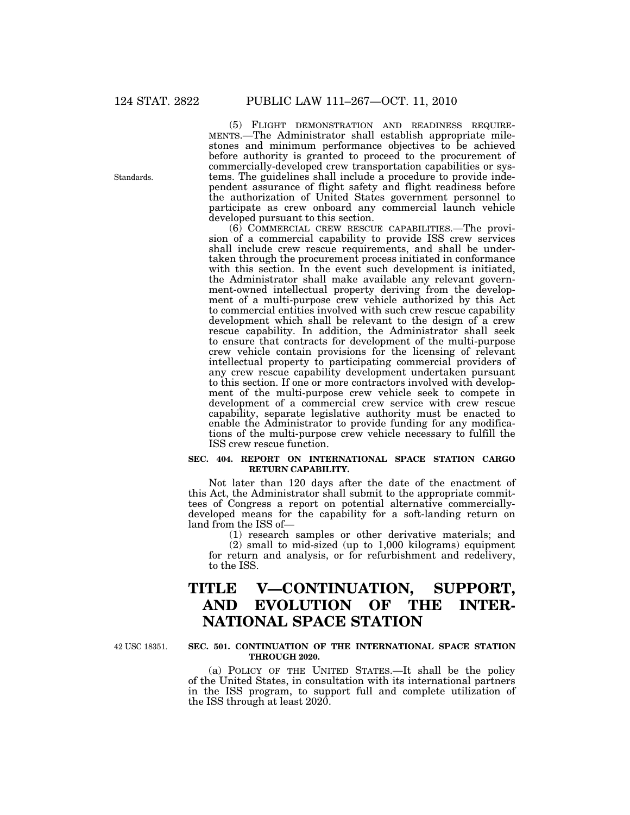(5) FLIGHT DEMONSTRATION AND READINESS REQUIRE- MENTS.—The Administrator shall establish appropriate milestones and minimum performance objectives to be achieved before authority is granted to proceed to the procurement of commercially-developed crew transportation capabilities or systems. The guidelines shall include a procedure to provide independent assurance of flight safety and flight readiness before the authorization of United States government personnel to participate as crew onboard any commercial launch vehicle developed pursuant to this section.

(6) COMMERCIAL CREW RESCUE CAPABILITIES.—The provision of a commercial capability to provide ISS crew services shall include crew rescue requirements, and shall be undertaken through the procurement process initiated in conformance with this section. In the event such development is initiated, the Administrator shall make available any relevant government-owned intellectual property deriving from the development of a multi-purpose crew vehicle authorized by this Act to commercial entities involved with such crew rescue capability development which shall be relevant to the design of a crew rescue capability. In addition, the Administrator shall seek to ensure that contracts for development of the multi-purpose crew vehicle contain provisions for the licensing of relevant intellectual property to participating commercial providers of any crew rescue capability development undertaken pursuant to this section. If one or more contractors involved with development of the multi-purpose crew vehicle seek to compete in development of a commercial crew service with crew rescue capability, separate legislative authority must be enacted to enable the Administrator to provide funding for any modifications of the multi-purpose crew vehicle necessary to fulfill the ISS crew rescue function.

### **SEC. 404. REPORT ON INTERNATIONAL SPACE STATION CARGO RETURN CAPABILITY.**

Not later than 120 days after the date of the enactment of this Act, the Administrator shall submit to the appropriate committees of Congress a report on potential alternative commerciallydeveloped means for the capability for a soft-landing return on land from the ISS of—

> (1) research samples or other derivative materials; and (2) small to mid-sized (up to 1,000 kilograms) equipment

for return and analysis, or for refurbishment and redelivery, to the ISS.

# **TITLE V—CONTINUATION, SUPPORT, AND EVOLUTION OF THE INTER-NATIONAL SPACE STATION**

42 USC 18351.

#### **SEC. 501. CONTINUATION OF THE INTERNATIONAL SPACE STATION THROUGH 2020.**

(a) POLICY OF THE UNITED STATES.—It shall be the policy of the United States, in consultation with its international partners in the ISS program, to support full and complete utilization of the ISS through at least 2020.

Standards.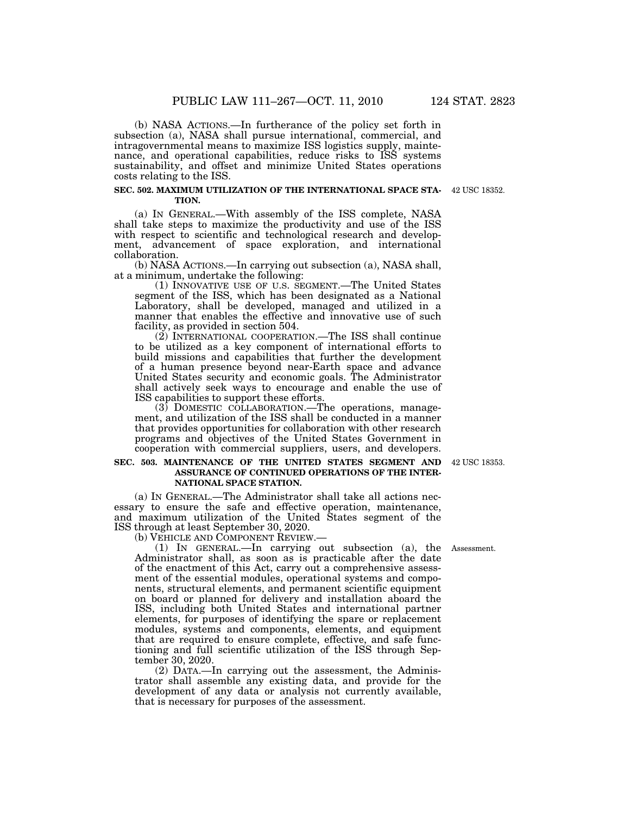(b) NASA ACTIONS.—In furtherance of the policy set forth in subsection (a), NASA shall pursue international, commercial, and intragovernmental means to maximize ISS logistics supply, maintenance, and operational capabilities, reduce risks to ISS systems sustainability, and offset and minimize United States operations costs relating to the ISS.

#### **SEC. 502. MAXIMUM UTILIZATION OF THE INTERNATIONAL SPACE STA-**42 USC 18352. **TION.**

(a) IN GENERAL.—With assembly of the ISS complete, NASA shall take steps to maximize the productivity and use of the ISS with respect to scientific and technological research and development, advancement of space exploration, and international collaboration.

(b) NASA ACTIONS.—In carrying out subsection (a), NASA shall, at a minimum, undertake the following:

(1) INNOVATIVE USE OF U.S. SEGMENT.—The United States segment of the ISS, which has been designated as a National Laboratory, shall be developed, managed and utilized in a manner that enables the effective and innovative use of such facility, as provided in section 504.

(2) INTERNATIONAL COOPERATION.—The ISS shall continue to be utilized as a key component of international efforts to build missions and capabilities that further the development of a human presence beyond near-Earth space and advance United States security and economic goals. The Administrator shall actively seek ways to encourage and enable the use of ISS capabilities to support these efforts.

(3) DOMESTIC COLLABORATION.—The operations, management, and utilization of the ISS shall be conducted in a manner that provides opportunities for collaboration with other research programs and objectives of the United States Government in cooperation with commercial suppliers, users, and developers.

#### SEC. 503. MAINTENANCE OF THE UNITED STATES SEGMENT AND 42 USC 18353. **ASSURANCE OF CONTINUED OPERATIONS OF THE INTER-NATIONAL SPACE STATION.**

(a) IN GENERAL.—The Administrator shall take all actions necessary to ensure the safe and effective operation, maintenance, and maximum utilization of the United States segment of the ISS through at least September 30, 2020.

(1) IN GENERAL.—In carrying out subsection (a), the Administrator shall, as soon as is practicable after the date of the enactment of this Act, carry out a comprehensive assessment of the essential modules, operational systems and components, structural elements, and permanent scientific equipment on board or planned for delivery and installation aboard the ISS, including both United States and international partner elements, for purposes of identifying the spare or replacement modules, systems and components, elements, and equipment that are required to ensure complete, effective, and safe functioning and full scientific utilization of the ISS through September 30, 2020.

(2) DATA.—In carrying out the assessment, the Administrator shall assemble any existing data, and provide for the development of any data or analysis not currently available, that is necessary for purposes of the assessment.

Assessment.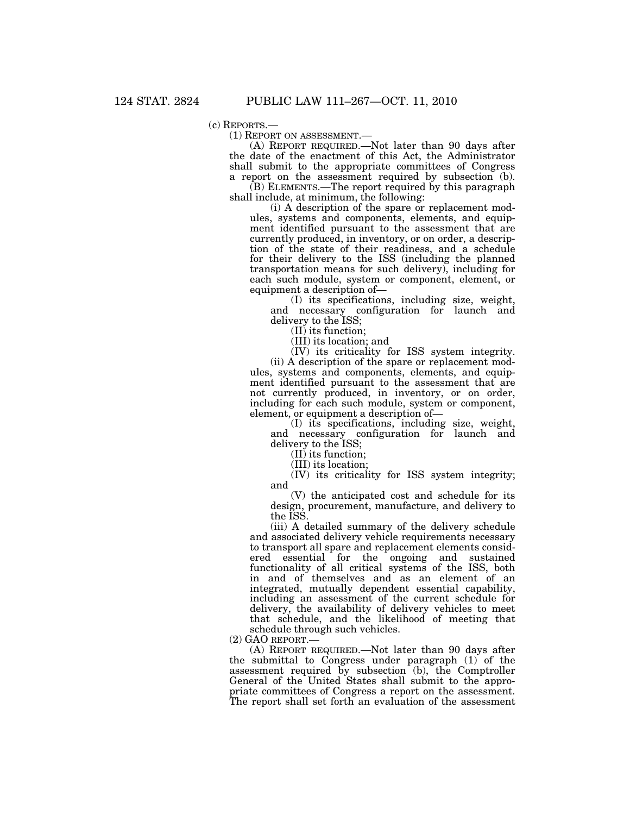(c) REPORTS.— (1) REPORT ON ASSESSMENT.— (A) REPORT REQUIRED.—Not later than 90 days after the date of the enactment of this Act, the Administrator shall submit to the appropriate committees of Congress a report on the assessment required by subsection (b).

(B) ELEMENTS.—The report required by this paragraph shall include, at minimum, the following:

(i) A description of the spare or replacement modules, systems and components, elements, and equipment identified pursuant to the assessment that are currently produced, in inventory, or on order, a description of the state of their readiness, and a schedule for their delivery to the ISS (including the planned transportation means for such delivery), including for each such module, system or component, element, or equipment a description of—

(I) its specifications, including size, weight, and necessary configuration for launch and delivery to the ISS;

(II) its function;

(III) its location; and

(IV) its criticality for ISS system integrity. (ii) A description of the spare or replacement modules, systems and components, elements, and equipment identified pursuant to the assessment that are not currently produced, in inventory, or on order, including for each such module, system or component, element, or equipment a description of—

(I) its specifications, including size, weight, and necessary configuration for launch and delivery to the ISS;

(II) its function;

(III) its location;

(IV) its criticality for ISS system integrity; and

(V) the anticipated cost and schedule for its design, procurement, manufacture, and delivery to the ISS.

(iii) A detailed summary of the delivery schedule and associated delivery vehicle requirements necessary to transport all spare and replacement elements considered essential for the ongoing and sustained functionality of all critical systems of the ISS, both in and of themselves and as an element of an integrated, mutually dependent essential capability, including an assessment of the current schedule for delivery, the availability of delivery vehicles to meet that schedule, and the likelihood of meeting that schedule through such vehicles.

(2) GAO REPORT.— (A) REPORT REQUIRED.—Not later than 90 days after the submittal to Congress under paragraph (1) of the assessment required by subsection (b), the Comptroller General of the United States shall submit to the appropriate committees of Congress a report on the assessment. The report shall set forth an evaluation of the assessment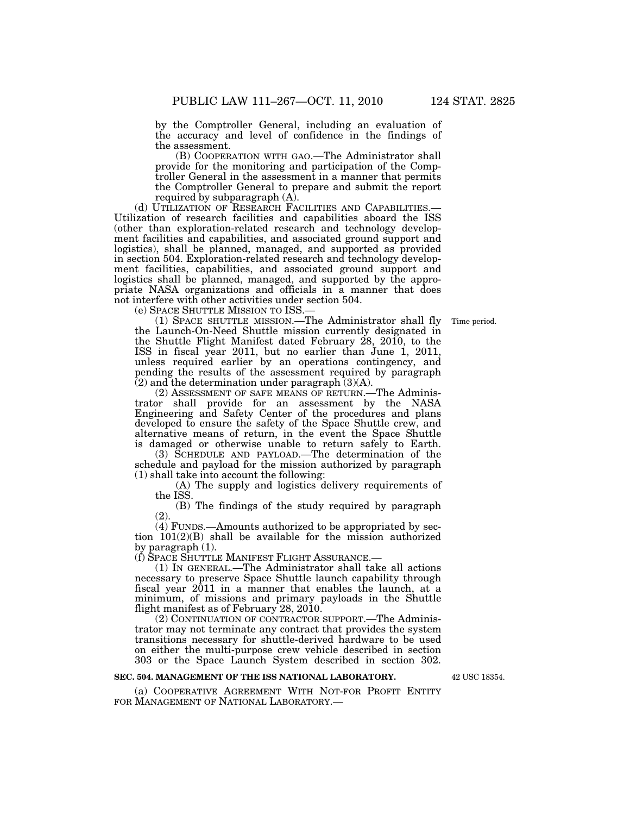by the Comptroller General, including an evaluation of the accuracy and level of confidence in the findings of the assessment.

(B) COOPERATION WITH GAO.—The Administrator shall provide for the monitoring and participation of the Comptroller General in the assessment in a manner that permits the Comptroller General to prepare and submit the report required by subparagraph (A).

(d) UTILIZATION OF RESEARCH FACILITIES AND CAPABILITIES.— Utilization of research facilities and capabilities aboard the ISS (other than exploration-related research and technology development facilities and capabilities, and associated ground support and logistics), shall be planned, managed, and supported as provided in section 504. Exploration-related research and technology development facilities, capabilities, and associated ground support and logistics shall be planned, managed, and supported by the appropriate NASA organizations and officials in a manner that does not interfere with other activities under section 504.

(e) SPACE SHUTTLE MISSION TO ISS.—

(1) SPACE SHUTTLE MISSION.—The Administrator shall fly the Launch-On-Need Shuttle mission currently designated in the Shuttle Flight Manifest dated February 28, 2010, to the ISS in fiscal year 2011, but no earlier than June 1, 2011, unless required earlier by an operations contingency, and pending the results of the assessment required by paragraph (2) and the determination under paragraph (3)(A).

(2) ASSESSMENT OF SAFE MEANS OF RETURN.—The Administrator shall provide for an assessment by the NASA Engineering and Safety Center of the procedures and plans developed to ensure the safety of the Space Shuttle crew, and alternative means of return, in the event the Space Shuttle is damaged or otherwise unable to return safely to Earth.

(3) SCHEDULE AND PAYLOAD.—The determination of the schedule and payload for the mission authorized by paragraph (1) shall take into account the following:

(A) The supply and logistics delivery requirements of the ISS.

(B) The findings of the study required by paragraph (2).

(4) FUNDS.—Amounts authorized to be appropriated by section 101(2)(B) shall be available for the mission authorized by paragraph (1).

(f) SPACE SHUTTLE MANIFEST FLIGHT ASSURANCE.—

(1) IN GENERAL.—The Administrator shall take all actions necessary to preserve Space Shuttle launch capability through fiscal year 2011 in a manner that enables the launch, at a minimum, of missions and primary payloads in the Shuttle flight manifest as of February 28, 2010.

(2) CONTINUATION OF CONTRACTOR SUPPORT.—The Administrator may not terminate any contract that provides the system transitions necessary for shuttle-derived hardware to be used on either the multi-purpose crew vehicle described in section 303 or the Space Launch System described in section 302.

#### **SEC. 504. MANAGEMENT OF THE ISS NATIONAL LABORATORY.**

(a) COOPERATIVE AGREEMENT WITH NOT-FOR PROFIT ENTITY FOR MANAGEMENT OF NATIONAL LABORATORY.—

42 USC 18354.

Time period.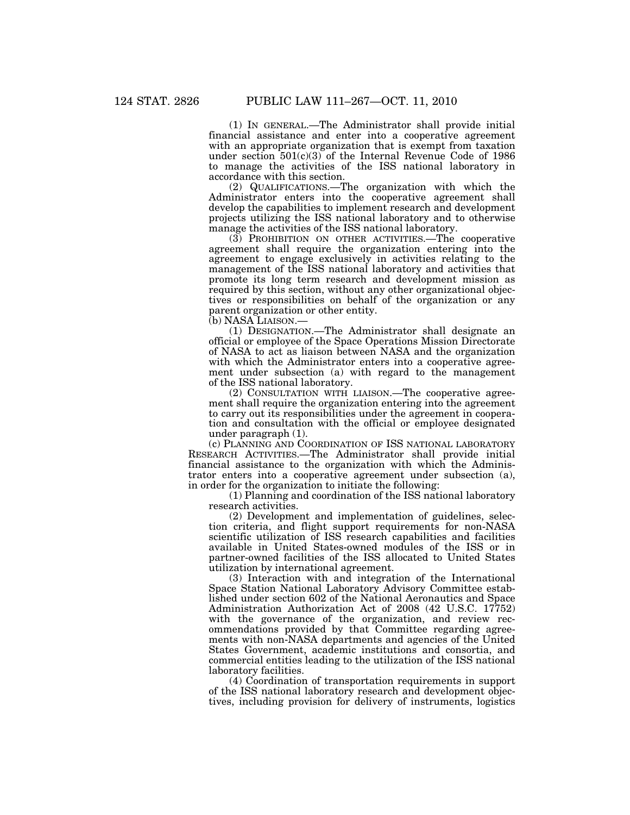(1) IN GENERAL.—The Administrator shall provide initial financial assistance and enter into a cooperative agreement with an appropriate organization that is exempt from taxation under section  $501(c)(3)$  of the Internal Revenue Code of 1986 to manage the activities of the ISS national laboratory in accordance with this section.

(2) QUALIFICATIONS.—The organization with which the Administrator enters into the cooperative agreement shall develop the capabilities to implement research and development projects utilizing the ISS national laboratory and to otherwise manage the activities of the ISS national laboratory.

(3) PROHIBITION ON OTHER ACTIVITIES.—The cooperative agreement shall require the organization entering into the agreement to engage exclusively in activities relating to the management of the ISS national laboratory and activities that promote its long term research and development mission as required by this section, without any other organizational objectives or responsibilities on behalf of the organization or any parent organization or other entity.

(b) NASA LIAISON.—

(1) DESIGNATION.—The Administrator shall designate an official or employee of the Space Operations Mission Directorate of NASA to act as liaison between NASA and the organization with which the Administrator enters into a cooperative agreement under subsection (a) with regard to the management of the ISS national laboratory.

(2) CONSULTATION WITH LIAISON.—The cooperative agreement shall require the organization entering into the agreement to carry out its responsibilities under the agreement in cooperation and consultation with the official or employee designated under paragraph (1).

(c) PLANNING AND COORDINATION OF ISS NATIONAL LABORATORY RESEARCH ACTIVITIES.—The Administrator shall provide initial financial assistance to the organization with which the Administrator enters into a cooperative agreement under subsection (a), in order for the organization to initiate the following:

(1) Planning and coordination of the ISS national laboratory research activities.

(2) Development and implementation of guidelines, selection criteria, and flight support requirements for non-NASA scientific utilization of ISS research capabilities and facilities available in United States-owned modules of the ISS or in partner-owned facilities of the ISS allocated to United States utilization by international agreement.

(3) Interaction with and integration of the International Space Station National Laboratory Advisory Committee established under section 602 of the National Aeronautics and Space Administration Authorization Act of 2008 (42 U.S.C. 17752) with the governance of the organization, and review recommendations provided by that Committee regarding agreements with non-NASA departments and agencies of the United States Government, academic institutions and consortia, and commercial entities leading to the utilization of the ISS national laboratory facilities.

(4) Coordination of transportation requirements in support of the ISS national laboratory research and development objectives, including provision for delivery of instruments, logistics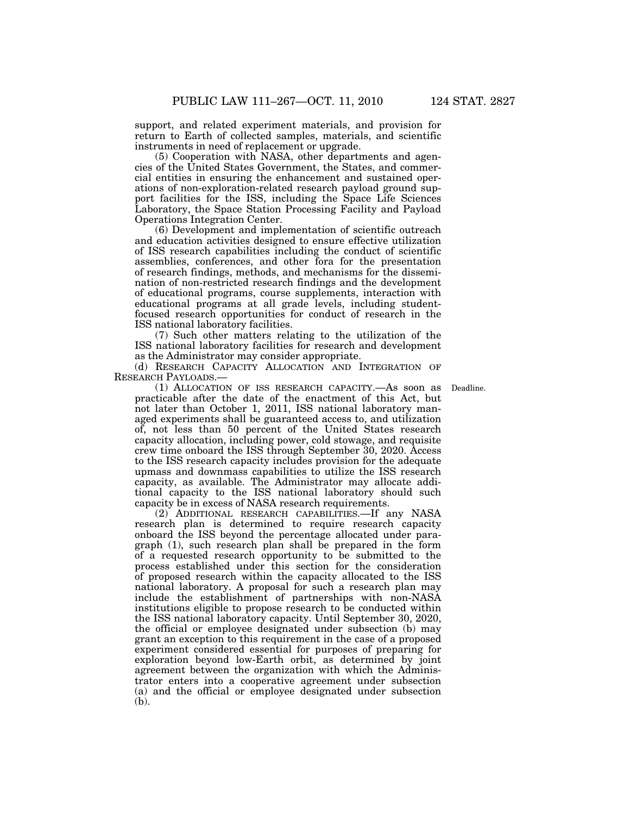support, and related experiment materials, and provision for return to Earth of collected samples, materials, and scientific instruments in need of replacement or upgrade.

(5) Cooperation with NASA, other departments and agencies of the United States Government, the States, and commercial entities in ensuring the enhancement and sustained operations of non-exploration-related research payload ground support facilities for the ISS, including the Space Life Sciences Laboratory, the Space Station Processing Facility and Payload Operations Integration Center.

(6) Development and implementation of scientific outreach and education activities designed to ensure effective utilization of ISS research capabilities including the conduct of scientific assemblies, conferences, and other fora for the presentation of research findings, methods, and mechanisms for the dissemination of non-restricted research findings and the development of educational programs, course supplements, interaction with educational programs at all grade levels, including studentfocused research opportunities for conduct of research in the ISS national laboratory facilities.

(7) Such other matters relating to the utilization of the ISS national laboratory facilities for research and development as the Administrator may consider appropriate.

(d) RESEARCH CAPACITY ALLOCATION AND INTEGRATION OF RESEARCH PAYLOADS.—

Deadline.

(1) ALLOCATION OF ISS RESEARCH CAPACITY.—As soon as practicable after the date of the enactment of this Act, but not later than October 1, 2011, ISS national laboratory managed experiments shall be guaranteed access to, and utilization of, not less than 50 percent of the United States research capacity allocation, including power, cold stowage, and requisite crew time onboard the ISS through September 30, 2020. Access to the ISS research capacity includes provision for the adequate upmass and downmass capabilities to utilize the ISS research capacity, as available. The Administrator may allocate additional capacity to the ISS national laboratory should such capacity be in excess of NASA research requirements.

(2) ADDITIONAL RESEARCH CAPABILITIES.—If any NASA research plan is determined to require research capacity onboard the ISS beyond the percentage allocated under paragraph (1), such research plan shall be prepared in the form of a requested research opportunity to be submitted to the process established under this section for the consideration of proposed research within the capacity allocated to the ISS national laboratory. A proposal for such a research plan may include the establishment of partnerships with non-NASA institutions eligible to propose research to be conducted within the ISS national laboratory capacity. Until September 30, 2020, the official or employee designated under subsection  $(b)$  may grant an exception to this requirement in the case of a proposed experiment considered essential for purposes of preparing for exploration beyond low-Earth orbit, as determined by joint agreement between the organization with which the Administrator enters into a cooperative agreement under subsection (a) and the official or employee designated under subsection (b).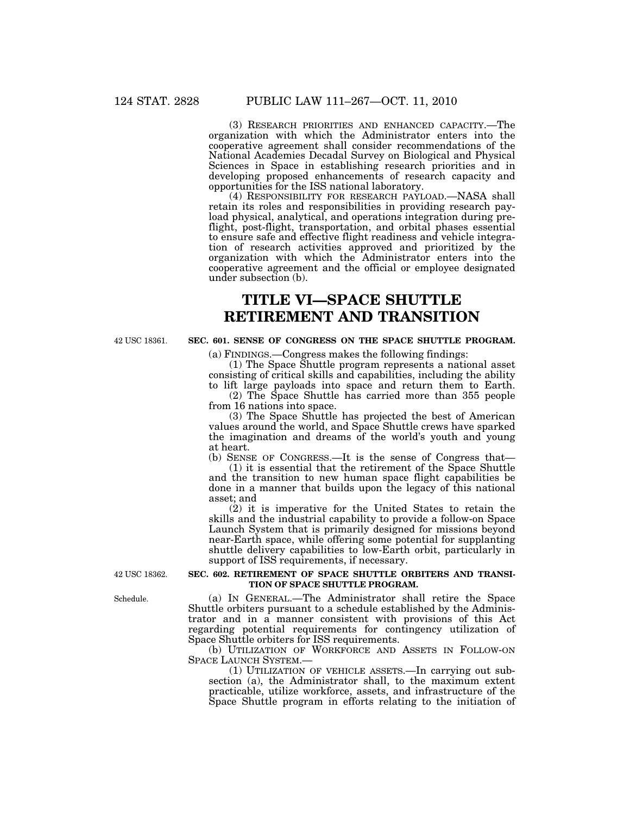(3) RESEARCH PRIORITIES AND ENHANCED CAPACITY.—The organization with which the Administrator enters into the cooperative agreement shall consider recommendations of the National Academies Decadal Survey on Biological and Physical Sciences in Space in establishing research priorities and in developing proposed enhancements of research capacity and opportunities for the ISS national laboratory.

(4) RESPONSIBILITY FOR RESEARCH PAYLOAD.—NASA shall retain its roles and responsibilities in providing research payload physical, analytical, and operations integration during preflight, post-flight, transportation, and orbital phases essential to ensure safe and effective flight readiness and vehicle integration of research activities approved and prioritized by the organization with which the Administrator enters into the cooperative agreement and the official or employee designated under subsection (b).

# **TITLE VI—SPACE SHUTTLE RETIREMENT AND TRANSITION**

42 USC 18361.

# **SEC. 601. SENSE OF CONGRESS ON THE SPACE SHUTTLE PROGRAM.**

(a) FINDINGS.—Congress makes the following findings:

(1) The Space Shuttle program represents a national asset consisting of critical skills and capabilities, including the ability to lift large payloads into space and return them to Earth.

(2) The Space Shuttle has carried more than 355 people from 16 nations into space.

(3) The Space Shuttle has projected the best of American values around the world, and Space Shuttle crews have sparked the imagination and dreams of the world's youth and young at heart.

(b) SENSE OF CONGRESS.—It is the sense of Congress that—

(1) it is essential that the retirement of the Space Shuttle and the transition to new human space flight capabilities be done in a manner that builds upon the legacy of this national asset; and

(2) it is imperative for the United States to retain the skills and the industrial capability to provide a follow-on Space Launch System that is primarily designed for missions beyond near-Earth space, while offering some potential for supplanting shuttle delivery capabilities to low-Earth orbit, particularly in support of ISS requirements, if necessary.

42 USC 18362.

### **SEC. 602. RETIREMENT OF SPACE SHUTTLE ORBITERS AND TRANSI-TION OF SPACE SHUTTLE PROGRAM.**

(a) IN GENERAL.—The Administrator shall retire the Space Shuttle orbiters pursuant to a schedule established by the Administrator and in a manner consistent with provisions of this Act regarding potential requirements for contingency utilization of Space Shuttle orbiters for ISS requirements.

(b) UTILIZATION OF WORKFORCE AND ASSETS IN FOLLOW-ON SPACE LAUNCH SYSTEM.—

(1) UTILIZATION OF VEHICLE ASSETS.—In carrying out subsection (a), the Administrator shall, to the maximum extent practicable, utilize workforce, assets, and infrastructure of the Space Shuttle program in efforts relating to the initiation of

Schedule.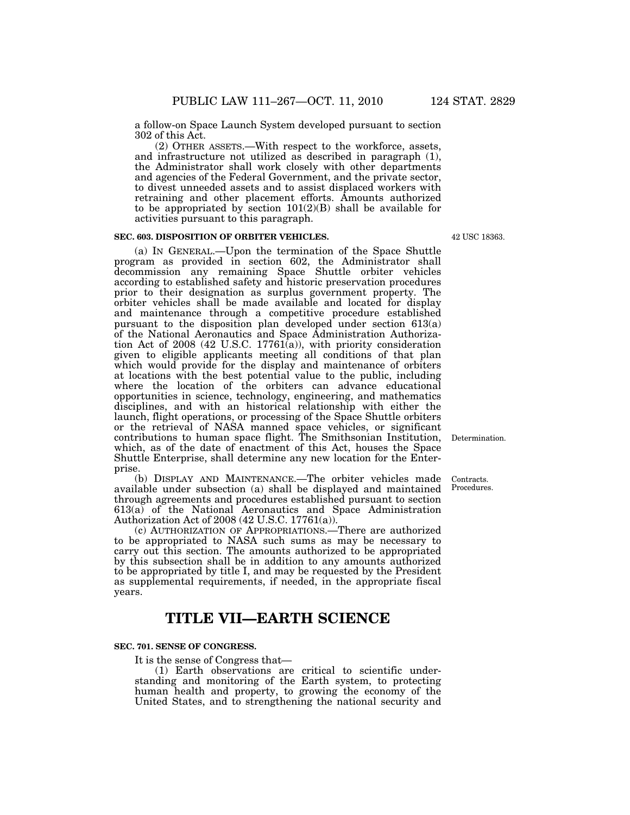a follow-on Space Launch System developed pursuant to section 302 of this Act.

(2) OTHER ASSETS.—With respect to the workforce, assets, and infrastructure not utilized as described in paragraph (1), the Administrator shall work closely with other departments and agencies of the Federal Government, and the private sector, to divest unneeded assets and to assist displaced workers with retraining and other placement efforts. Amounts authorized to be appropriated by section  $101(2)(B)$  shall be available for activities pursuant to this paragraph.

# **SEC. 603. DISPOSITION OF ORBITER VEHICLES.**

(a) IN GENERAL.—Upon the termination of the Space Shuttle program as provided in section 602, the Administrator shall decommission any remaining Space Shuttle orbiter vehicles according to established safety and historic preservation procedures prior to their designation as surplus government property. The orbiter vehicles shall be made available and located for display and maintenance through a competitive procedure established pursuant to the disposition plan developed under section 613(a) of the National Aeronautics and Space Administration Authorization Act of 2008 (42 U.S.C. 17761(a)), with priority consideration given to eligible applicants meeting all conditions of that plan which would provide for the display and maintenance of orbiters at locations with the best potential value to the public, including where the location of the orbiters can advance educational opportunities in science, technology, engineering, and mathematics disciplines, and with an historical relationship with either the launch, flight operations, or processing of the Space Shuttle orbiters or the retrieval of NASA manned space vehicles, or significant contributions to human space flight. The Smithsonian Institution, which, as of the date of enactment of this Act, houses the Space Shuttle Enterprise, shall determine any new location for the Enterprise.

(b) DISPLAY AND MAINTENANCE.—The orbiter vehicles made available under subsection (a) shall be displayed and maintained through agreements and procedures established pursuant to section 613(a) of the National Aeronautics and Space Administration Authorization Act of 2008 (42 U.S.C. 17761(a)).

(c) AUTHORIZATION OF APPROPRIATIONS.—There are authorized to be appropriated to NASA such sums as may be necessary to carry out this section. The amounts authorized to be appropriated by this subsection shall be in addition to any amounts authorized to be appropriated by title I, and may be requested by the President as supplemental requirements, if needed, in the appropriate fiscal years.

# **TITLE VII—EARTH SCIENCE**

# **SEC. 701. SENSE OF CONGRESS.**

It is the sense of Congress that—

(1) Earth observations are critical to scientific understanding and monitoring of the Earth system, to protecting human health and property, to growing the economy of the United States, and to strengthening the national security and

42 USC 18363.

Determination.

Contracts. Procedures.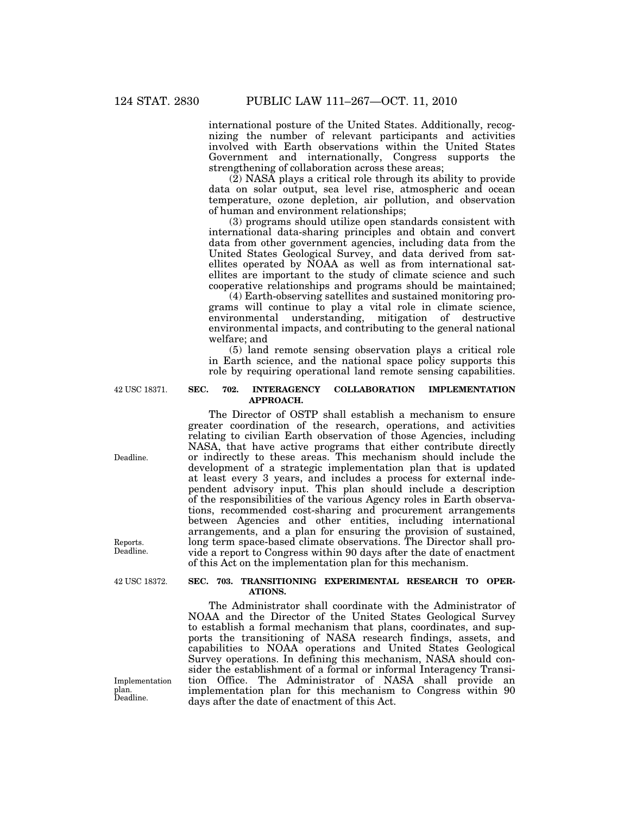international posture of the United States. Additionally, recognizing the number of relevant participants and activities involved with Earth observations within the United States Government and internationally, Congress supports the strengthening of collaboration across these areas;

(2) NASA plays a critical role through its ability to provide data on solar output, sea level rise, atmospheric and ocean temperature, ozone depletion, air pollution, and observation of human and environment relationships;

(3) programs should utilize open standards consistent with international data-sharing principles and obtain and convert data from other government agencies, including data from the United States Geological Survey, and data derived from satellites operated by NOAA as well as from international satellites are important to the study of climate science and such cooperative relationships and programs should be maintained;

(4) Earth-observing satellites and sustained monitoring programs will continue to play a vital role in climate science, environmental understanding, mitigation of destructive environmental impacts, and contributing to the general national welfare; and

(5) land remote sensing observation plays a critical role in Earth science, and the national space policy supports this role by requiring operational land remote sensing capabilities.

42 USC 18371.

## **SEC. 702. INTERAGENCY COLLABORATION IMPLEMENTATION APPROACH.**

The Director of OSTP shall establish a mechanism to ensure greater coordination of the research, operations, and activities relating to civilian Earth observation of those Agencies, including NASA, that have active programs that either contribute directly or indirectly to these areas. This mechanism should include the development of a strategic implementation plan that is updated at least every 3 years, and includes a process for external independent advisory input. This plan should include a description of the responsibilities of the various Agency roles in Earth observations, recommended cost-sharing and procurement arrangements between Agencies and other entities, including international arrangements, and a plan for ensuring the provision of sustained, long term space-based climate observations. The Director shall provide a report to Congress within 90 days after the date of enactment of this Act on the implementation plan for this mechanism.

#### **SEC. 703. TRANSITIONING EXPERIMENTAL RESEARCH TO OPER-ATIONS.**

The Administrator shall coordinate with the Administrator of NOAA and the Director of the United States Geological Survey to establish a formal mechanism that plans, coordinates, and supports the transitioning of NASA research findings, assets, and capabilities to NOAA operations and United States Geological Survey operations. In defining this mechanism, NASA should consider the establishment of a formal or informal Interagency Transition Office. The Administrator of NASA shall provide an implementation plan for this mechanism to Congress within 90 days after the date of enactment of this Act.

Deadline.

Reports. Deadline.

42 USC 18372.

Implementation plan. Deadline.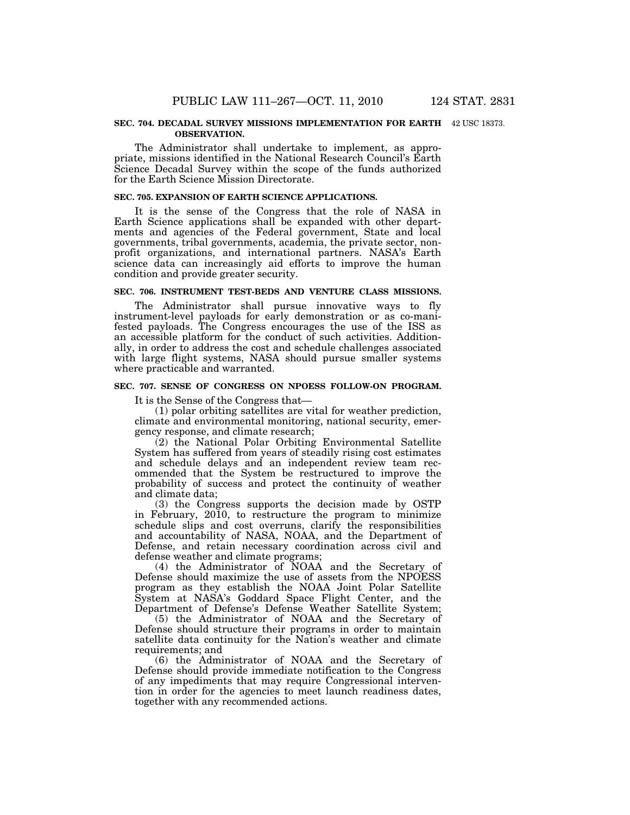#### **SEC. 704. DECADAL SURVEY MISSIONS IMPLEMENTATION FOR EARTH**  42 USC 18373. **OBSERVATION.**

The Administrator shall undertake to implement, as appropriate, missions identified in the National Research Council's Earth Science Decadal Survey within the scope of the funds authorized for the Earth Science Mission Directorate.

#### **SEC. 705. EXPANSION OF EARTH SCIENCE APPLICATIONS.**

It is the sense of the Congress that the role of NASA in Earth Science applications shall be expanded with other departments and agencies of the Federal government, State and local governments, tribal governments, academia, the private sector, nonprofit organizations, and international partners. NASA's Earth science data can increasingly aid efforts to improve the human condition and provide greater security.

# **SEC. 706. INSTRUMENT TEST-BEDS AND VENTURE CLASS MISSIONS.**

The Administrator shall pursue innovative ways to fly instrument-level payloads for early demonstration or as co-manifested payloads. The Congress encourages the use of the ISS as an accessible platform for the conduct of such activities. Additionally, in order to address the cost and schedule challenges associated with large flight systems, NASA should pursue smaller systems where practicable and warranted.

### **SEC. 707. SENSE OF CONGRESS ON NPOESS FOLLOW-ON PROGRAM.**

It is the Sense of the Congress that—

(1) polar orbiting satellites are vital for weather prediction, climate and environmental monitoring, national security, emergency response, and climate research;

(2) the National Polar Orbiting Environmental Satellite System has suffered from years of steadily rising cost estimates and schedule delays and an independent review team recommended that the System be restructured to improve the probability of success and protect the continuity of weather and climate data;

(3) the Congress supports the decision made by OSTP in February, 2010, to restructure the program to minimize schedule slips and cost overruns, clarify the responsibilities and accountability of NASA, NOAA, and the Department of Defense, and retain necessary coordination across civil and defense weather and climate programs;

(4) the Administrator of NOAA and the Secretary of Defense should maximize the use of assets from the NPOESS program as they establish the NOAA Joint Polar Satellite System at NASA's Goddard Space Flight Center, and the Department of Defense's Defense Weather Satellite System;

(5) the Administrator of NOAA and the Secretary of Defense should structure their programs in order to maintain satellite data continuity for the Nation's weather and climate requirements; and

(6) the Administrator of NOAA and the Secretary of Defense should provide immediate notification to the Congress of any impediments that may require Congressional intervention in order for the agencies to meet launch readiness dates, together with any recommended actions.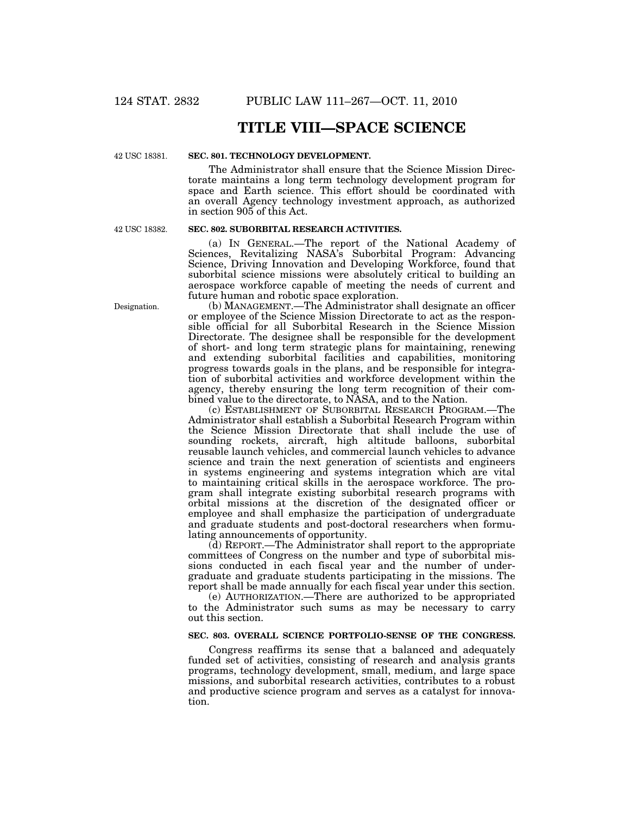# **TITLE VIII—SPACE SCIENCE**

42 USC 18381.

# **SEC. 801. TECHNOLOGY DEVELOPMENT.**

The Administrator shall ensure that the Science Mission Directorate maintains a long term technology development program for space and Earth science. This effort should be coordinated with an overall Agency technology investment approach, as authorized in section 905 of this Act.

42 USC 18382.

#### **SEC. 802. SUBORBITAL RESEARCH ACTIVITIES.**

(a) IN GENERAL.—The report of the National Academy of Sciences, Revitalizing NASA's Suborbital Program: Advancing Science, Driving Innovation and Developing Workforce, found that suborbital science missions were absolutely critical to building an aerospace workforce capable of meeting the needs of current and future human and robotic space exploration.

(b) MANAGEMENT.—The Administrator shall designate an officer or employee of the Science Mission Directorate to act as the responsible official for all Suborbital Research in the Science Mission Directorate. The designee shall be responsible for the development of short- and long term strategic plans for maintaining, renewing and extending suborbital facilities and capabilities, monitoring progress towards goals in the plans, and be responsible for integration of suborbital activities and workforce development within the agency, thereby ensuring the long term recognition of their combined value to the directorate, to NASA, and to the Nation.

(c) ESTABLISHMENT OF SUBORBITAL RESEARCH PROGRAM.—The Administrator shall establish a Suborbital Research Program within the Science Mission Directorate that shall include the use of sounding rockets, aircraft, high altitude balloons, suborbital reusable launch vehicles, and commercial launch vehicles to advance science and train the next generation of scientists and engineers in systems engineering and systems integration which are vital to maintaining critical skills in the aerospace workforce. The program shall integrate existing suborbital research programs with orbital missions at the discretion of the designated officer or employee and shall emphasize the participation of undergraduate and graduate students and post-doctoral researchers when formulating announcements of opportunity.

(d) REPORT.—The Administrator shall report to the appropriate committees of Congress on the number and type of suborbital missions conducted in each fiscal year and the number of undergraduate and graduate students participating in the missions. The report shall be made annually for each fiscal year under this section.

(e) AUTHORIZATION.—There are authorized to be appropriated to the Administrator such sums as may be necessary to carry out this section.

### **SEC. 803. OVERALL SCIENCE PORTFOLIO-SENSE OF THE CONGRESS.**

Congress reaffirms its sense that a balanced and adequately funded set of activities, consisting of research and analysis grants programs, technology development, small, medium, and large space missions, and suborbital research activities, contributes to a robust and productive science program and serves as a catalyst for innovation.

Designation.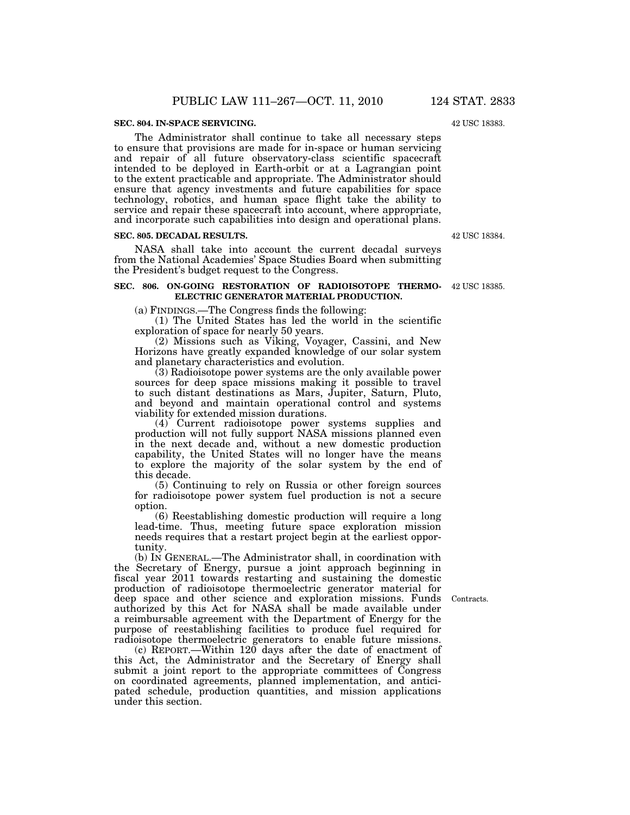#### **SEC. 804. IN-SPACE SERVICING.**

The Administrator shall continue to take all necessary steps to ensure that provisions are made for in-space or human servicing and repair of all future observatory-class scientific spacecraft intended to be deployed in Earth-orbit or at a Lagrangian point to the extent practicable and appropriate. The Administrator should ensure that agency investments and future capabilities for space technology, robotics, and human space flight take the ability to service and repair these spacecraft into account, where appropriate, and incorporate such capabilities into design and operational plans.

#### **SEC. 805. DECADAL RESULTS.**

NASA shall take into account the current decadal surveys from the National Academies' Space Studies Board when submitting the President's budget request to the Congress.

#### **SEC. 806. ON-GOING RESTORATION OF RADIOISOTOPE THERMO-**42 USC 18385. **ELECTRIC GENERATOR MATERIAL PRODUCTION.**

(a) FINDINGS.—The Congress finds the following:

(1) The United States has led the world in the scientific exploration of space for nearly 50 years.

(2) Missions such as Viking, Voyager, Cassini, and New Horizons have greatly expanded knowledge of our solar system and planetary characteristics and evolution.

(3) Radioisotope power systems are the only available power sources for deep space missions making it possible to travel to such distant destinations as Mars, Jupiter, Saturn, Pluto, and beyond and maintain operational control and systems viability for extended mission durations.

(4) Current radioisotope power systems supplies and production will not fully support NASA missions planned even in the next decade and, without a new domestic production capability, the United States will no longer have the means to explore the majority of the solar system by the end of this decade.

(5) Continuing to rely on Russia or other foreign sources for radioisotope power system fuel production is not a secure option.

(6) Reestablishing domestic production will require a long lead-time. Thus, meeting future space exploration mission needs requires that a restart project begin at the earliest opportunity.

(b) IN GENERAL.—The Administrator shall, in coordination with the Secretary of Energy, pursue a joint approach beginning in fiscal year 2011 towards restarting and sustaining the domestic production of radioisotope thermoelectric generator material for deep space and other science and exploration missions. Funds authorized by this Act for NASA shall be made available under a reimbursable agreement with the Department of Energy for the purpose of reestablishing facilities to produce fuel required for radioisotope thermoelectric generators to enable future missions.

(c) REPORT.—Within 120 days after the date of enactment of this Act, the Administrator and the Secretary of Energy shall submit a joint report to the appropriate committees of Congress on coordinated agreements, planned implementation, and anticipated schedule, production quantities, and mission applications under this section.

Contracts.

42 USC 18384.

42 USC 18383.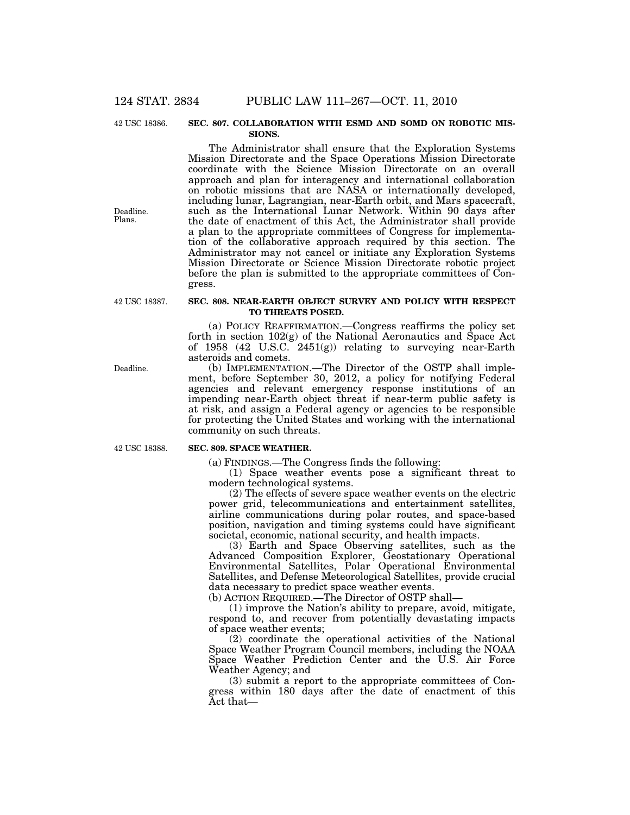42 USC 18386.

#### **SEC. 807. COLLABORATION WITH ESMD AND SOMD ON ROBOTIC MIS-SIONS.**

The Administrator shall ensure that the Exploration Systems Mission Directorate and the Space Operations Mission Directorate coordinate with the Science Mission Directorate on an overall approach and plan for interagency and international collaboration on robotic missions that are NASA or internationally developed, including lunar, Lagrangian, near-Earth orbit, and Mars spacecraft, such as the International Lunar Network. Within 90 days after the date of enactment of this Act, the Administrator shall provide a plan to the appropriate committees of Congress for implementation of the collaborative approach required by this section. The Administrator may not cancel or initiate any Exploration Systems Mission Directorate or Science Mission Directorate robotic project before the plan is submitted to the appropriate committees of Congress.

42 USC 18387.

Deadline. Plans.

#### **SEC. 808. NEAR-EARTH OBJECT SURVEY AND POLICY WITH RESPECT TO THREATS POSED.**

(a) POLICY REAFFIRMATION.—Congress reaffirms the policy set forth in section 102(g) of the National Aeronautics and Space Act of 1958 (42 U.S.C. 2451(g)) relating to surveying near-Earth asteroids and comets.

(b) IMPLEMENTATION.—The Director of the OSTP shall implement, before September 30, 2012, a policy for notifying Federal agencies and relevant emergency response institutions of an impending near-Earth object threat if near-term public safety is at risk, and assign a Federal agency or agencies to be responsible for protecting the United States and working with the international community on such threats.

42 USC 18388.

#### **SEC. 809. SPACE WEATHER.**

(a) FINDINGS.—The Congress finds the following:

(1) Space weather events pose a significant threat to modern technological systems.

(2) The effects of severe space weather events on the electric power grid, telecommunications and entertainment satellites, airline communications during polar routes, and space-based position, navigation and timing systems could have significant societal, economic, national security, and health impacts.

(3) Earth and Space Observing satellites, such as the Advanced Composition Explorer, Geostationary Operational Environmental Satellites, Polar Operational Environmental Satellites, and Defense Meteorological Satellites, provide crucial data necessary to predict space weather events.

(b) ACTION REQUIRED.—The Director of OSTP shall—

(1) improve the Nation's ability to prepare, avoid, mitigate, respond to, and recover from potentially devastating impacts of space weather events;

(2) coordinate the operational activities of the National Space Weather Program Council members, including the NOAA Space Weather Prediction Center and the U.S. Air Force Weather Agency; and

(3) submit a report to the appropriate committees of Congress within 180 days after the date of enactment of this Act that—

Deadline.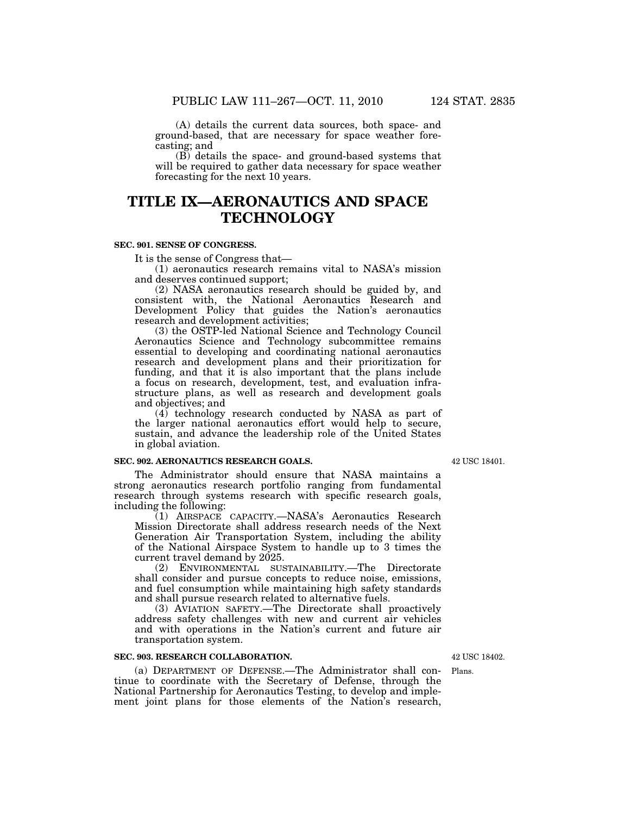(A) details the current data sources, both space- and ground-based, that are necessary for space weather forecasting; and

(B) details the space- and ground-based systems that will be required to gather data necessary for space weather forecasting for the next 10 years.

# **TITLE IX—AERONAUTICS AND SPACE TECHNOLOGY**

## **SEC. 901. SENSE OF CONGRESS.**

It is the sense of Congress that—

(1) aeronautics research remains vital to NASA's mission and deserves continued support;

(2) NASA aeronautics research should be guided by, and consistent with, the National Aeronautics Research and Development Policy that guides the Nation's aeronautics research and development activities;

(3) the OSTP-led National Science and Technology Council Aeronautics Science and Technology subcommittee remains essential to developing and coordinating national aeronautics research and development plans and their prioritization for funding, and that it is also important that the plans include a focus on research, development, test, and evaluation infrastructure plans, as well as research and development goals and objectives; and

(4) technology research conducted by NASA as part of the larger national aeronautics effort would help to secure, sustain, and advance the leadership role of the United States in global aviation.

## **SEC. 902. AERONAUTICS RESEARCH GOALS.**

The Administrator should ensure that NASA maintains a strong aeronautics research portfolio ranging from fundamental research through systems research with specific research goals, including the following:

(1) AIRSPACE CAPACITY.—NASA's Aeronautics Research Mission Directorate shall address research needs of the Next Generation Air Transportation System, including the ability of the National Airspace System to handle up to 3 times the current travel demand by 2025.

(2) ENVIRONMENTAL SUSTAINABILITY.—The Directorate shall consider and pursue concepts to reduce noise, emissions, and fuel consumption while maintaining high safety standards and shall pursue research related to alternative fuels.

(3) AVIATION SAFETY.—The Directorate shall proactively address safety challenges with new and current air vehicles and with operations in the Nation's current and future air transportation system.

#### **SEC. 903. RESEARCH COLLABORATION.**

(a) DEPARTMENT OF DEFENSE.—The Administrator shall continue to coordinate with the Secretary of Defense, through the National Partnership for Aeronautics Testing, to develop and implement joint plans for those elements of the Nation's research,

42 USC 18402.

Plans.

42 USC 18401.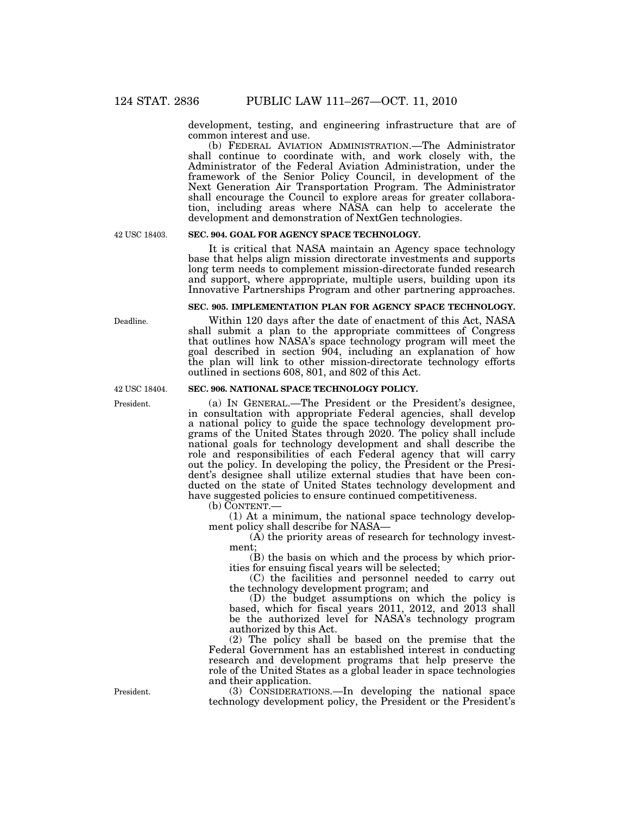development, testing, and engineering infrastructure that are of common interest and use.

(b) FEDERAL AVIATION ADMINISTRATION.—The Administrator shall continue to coordinate with, and work closely with, the Administrator of the Federal Aviation Administration, under the framework of the Senior Policy Council, in development of the Next Generation Air Transportation Program. The Administrator shall encourage the Council to explore areas for greater collaboration, including areas where NASA can help to accelerate the development and demonstration of NextGen technologies.

42 USC 18403.

# **SEC. 904. GOAL FOR AGENCY SPACE TECHNOLOGY.**

It is critical that NASA maintain an Agency space technology base that helps align mission directorate investments and supports long term needs to complement mission-directorate funded research and support, where appropriate, multiple users, building upon its Innovative Partnerships Program and other partnering approaches.

## **SEC. 905. IMPLEMENTATION PLAN FOR AGENCY SPACE TECHNOLOGY.**

Within 120 days after the date of enactment of this Act, NASA shall submit a plan to the appropriate committees of Congress that outlines how NASA's space technology program will meet the goal described in section 904, including an explanation of how the plan will link to other mission-directorate technology efforts outlined in sections 608, 801, and 802 of this Act.

# **SEC. 906. NATIONAL SPACE TECHNOLOGY POLICY.**

(a) IN GENERAL.—The President or the President's designee, in consultation with appropriate Federal agencies, shall develop a national policy to guide the space technology development programs of the United States through 2020. The policy shall include national goals for technology development and shall describe the role and responsibilities of each Federal agency that will carry out the policy. In developing the policy, the President or the President's designee shall utilize external studies that have been conducted on the state of United States technology development and have suggested policies to ensure continued competitiveness.

(b) CONTENT.—

(1) At a minimum, the national space technology development policy shall describe for NASA—

(A) the priority areas of research for technology investment;

(B) the basis on which and the process by which priorities for ensuing fiscal years will be selected;

(C) the facilities and personnel needed to carry out the technology development program; and

(D) the budget assumptions on which the policy is based, which for fiscal years 2011, 2012, and 2013 shall be the authorized level for NASA's technology program authorized by this Act.

(2) The policy shall be based on the premise that the Federal Government has an established interest in conducting research and development programs that help preserve the role of the United States as a global leader in space technologies and their application.

(3) CONSIDERATIONS.—In developing the national space technology development policy, the President or the President's

Deadline.

42 USC 18404.

President.

President.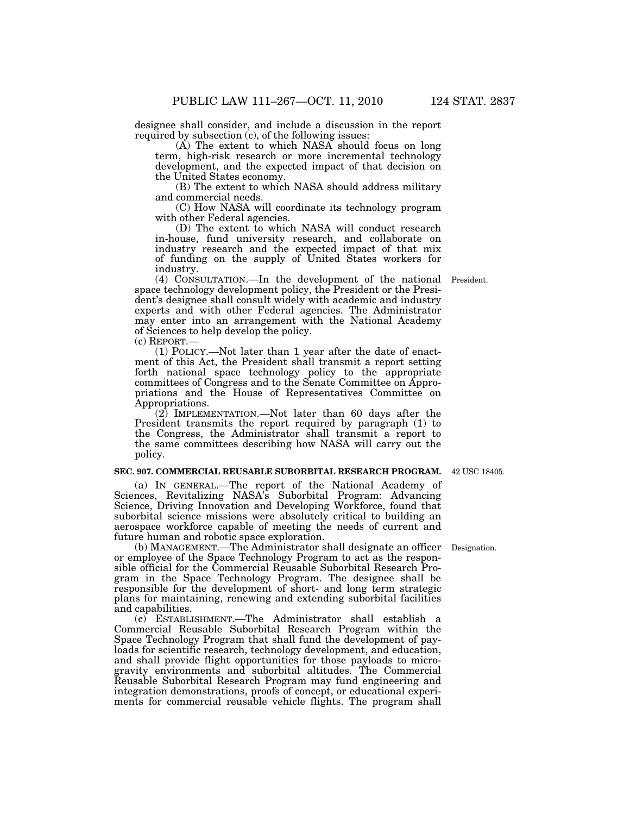designee shall consider, and include a discussion in the report required by subsection (c), of the following issues:

(A) The extent to which NASA should focus on long term, high-risk research or more incremental technology development, and the expected impact of that decision on the United States economy.

(B) The extent to which NASA should address military and commercial needs.

(C) How NASA will coordinate its technology program with other Federal agencies.

(D) The extent to which NASA will conduct research in-house, fund university research, and collaborate on industry research and the expected impact of that mix of funding on the supply of United States workers for industry.

(4) CONSULTATION.—In the development of the national President. space technology development policy, the President or the President's designee shall consult widely with academic and industry experts and with other Federal agencies. The Administrator may enter into an arrangement with the National Academy of Sciences to help develop the policy.

(c) REPORT.—

(1) POLICY.—Not later than 1 year after the date of enactment of this Act, the President shall transmit a report setting forth national space technology policy to the appropriate committees of Congress and to the Senate Committee on Appropriations and the House of Representatives Committee on Appropriations.

(2) IMPLEMENTATION.—Not later than 60 days after the President transmits the report required by paragraph (1) to the Congress, the Administrator shall transmit a report to the same committees describing how NASA will carry out the policy.

#### **SEC. 907. COMMERCIAL REUSABLE SUBORBITAL RESEARCH PROGRAM.**  42 USC 18405.

(a) IN GENERAL.—The report of the National Academy of Sciences, Revitalizing NASA's Suborbital Program: Advancing Science, Driving Innovation and Developing Workforce, found that suborbital science missions were absolutely critical to building an aerospace workforce capable of meeting the needs of current and future human and robotic space exploration.

(b) MANAGEMENT.—The Administrator shall designate an officer Designation. or employee of the Space Technology Program to act as the responsible official for the Commercial Reusable Suborbital Research Program in the Space Technology Program. The designee shall be responsible for the development of short- and long term strategic plans for maintaining, renewing and extending suborbital facilities and capabilities.

(c) ESTABLISHMENT.—The Administrator shall establish a Commercial Reusable Suborbital Research Program within the Space Technology Program that shall fund the development of payloads for scientific research, technology development, and education, and shall provide flight opportunities for those payloads to microgravity environments and suborbital altitudes. The Commercial Reusable Suborbital Research Program may fund engineering and integration demonstrations, proofs of concept, or educational experiments for commercial reusable vehicle flights. The program shall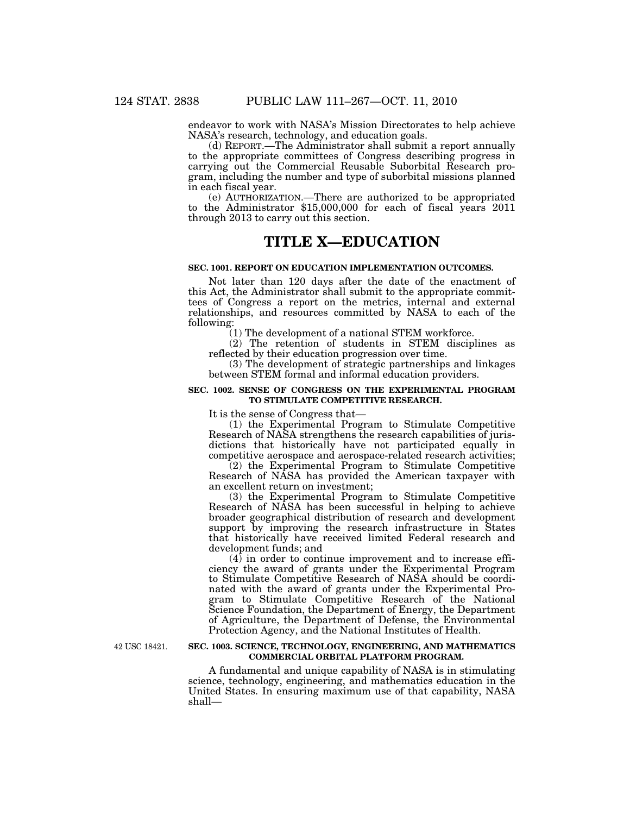endeavor to work with NASA's Mission Directorates to help achieve NASA's research, technology, and education goals.

(d) REPORT.—The Administrator shall submit a report annually to the appropriate committees of Congress describing progress in carrying out the Commercial Reusable Suborbital Research program, including the number and type of suborbital missions planned in each fiscal year.

to the Administrator  $$15,000,000$  for each of fiscal years 2011 through 2013 to carry out this section.

# **TITLE X—EDUCATION**

#### **SEC. 1001. REPORT ON EDUCATION IMPLEMENTATION OUTCOMES.**

Not later than 120 days after the date of the enactment of this Act, the Administrator shall submit to the appropriate committees of Congress a report on the metrics, internal and external relationships, and resources committed by NASA to each of the following:

(1) The development of a national STEM workforce.

(2) The retention of students in STEM disciplines as reflected by their education progression over time.

(3) The development of strategic partnerships and linkages between STEM formal and informal education providers.

## **SEC. 1002. SENSE OF CONGRESS ON THE EXPERIMENTAL PROGRAM TO STIMULATE COMPETITIVE RESEARCH.**

It is the sense of Congress that—

(1) the Experimental Program to Stimulate Competitive Research of NASA strengthens the research capabilities of jurisdictions that historically have not participated equally in competitive aerospace and aerospace-related research activities;

(2) the Experimental Program to Stimulate Competitive Research of NASA has provided the American taxpayer with an excellent return on investment;

(3) the Experimental Program to Stimulate Competitive Research of NASA has been successful in helping to achieve broader geographical distribution of research and development support by improving the research infrastructure in States that historically have received limited Federal research and development funds; and

 $(4)$  in order to continue improvement and to increase efficiency the award of grants under the Experimental Program to Stimulate Competitive Research of NASA should be coordinated with the award of grants under the Experimental Program to Stimulate Competitive Research of the National Science Foundation, the Department of Energy, the Department of Agriculture, the Department of Defense, the Environmental Protection Agency, and the National Institutes of Health.

42 USC 18421.

# **SEC. 1003. SCIENCE, TECHNOLOGY, ENGINEERING, AND MATHEMATICS COMMERCIAL ORBITAL PLATFORM PROGRAM.**

A fundamental and unique capability of NASA is in stimulating science, technology, engineering, and mathematics education in the United States. In ensuring maximum use of that capability, NASA shall—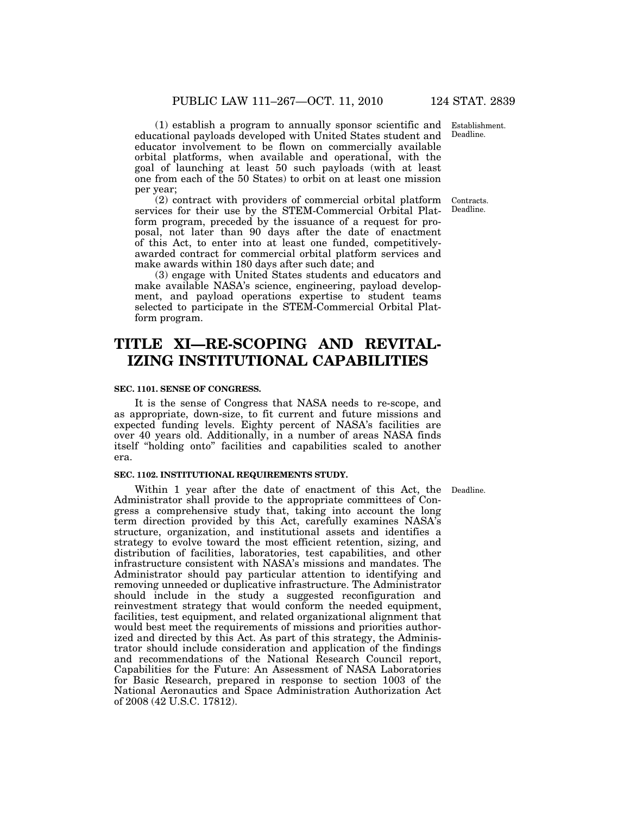Establishment. Deadline.

(1) establish a program to annually sponsor scientific and educational payloads developed with United States student and educator involvement to be flown on commercially available orbital platforms, when available and operational, with the goal of launching at least 50 such payloads (with at least one from each of the 50 States) to orbit on at least one mission per year;

(2) contract with providers of commercial orbital platform services for their use by the STEM-Commercial Orbital Platform program, preceded by the issuance of a request for proposal, not later than 90 days after the date of enactment of this Act, to enter into at least one funded, competitivelyawarded contract for commercial orbital platform services and make awards within 180 days after such date; and

(3) engage with United States students and educators and make available NASA's science, engineering, payload development, and payload operations expertise to student teams selected to participate in the STEM-Commercial Orbital Platform program.

# **TITLE XI—RE-SCOPING AND REVITAL-IZING INSTITUTIONAL CAPABILITIES**

# **SEC. 1101. SENSE OF CONGRESS.**

It is the sense of Congress that NASA needs to re-scope, and as appropriate, down-size, to fit current and future missions and expected funding levels. Eighty percent of NASA's facilities are over 40 years old. Additionally, in a number of areas NASA finds itself ''holding onto'' facilities and capabilities scaled to another era.

#### **SEC. 1102. INSTITUTIONAL REQUIREMENTS STUDY.**

Within 1 year after the date of enactment of this Act, the Deadline. Administrator shall provide to the appropriate committees of Congress a comprehensive study that, taking into account the long term direction provided by this Act, carefully examines NASA's structure, organization, and institutional assets and identifies a strategy to evolve toward the most efficient retention, sizing, and distribution of facilities, laboratories, test capabilities, and other infrastructure consistent with NASA's missions and mandates. The Administrator should pay particular attention to identifying and removing unneeded or duplicative infrastructure. The Administrator should include in the study a suggested reconfiguration and reinvestment strategy that would conform the needed equipment, facilities, test equipment, and related organizational alignment that would best meet the requirements of missions and priorities authorized and directed by this Act. As part of this strategy, the Administrator should include consideration and application of the findings and recommendations of the National Research Council report, Capabilities for the Future: An Assessment of NASA Laboratories for Basic Research, prepared in response to section 1003 of the National Aeronautics and Space Administration Authorization Act of 2008 (42 U.S.C. 17812).

Contracts. Deadline.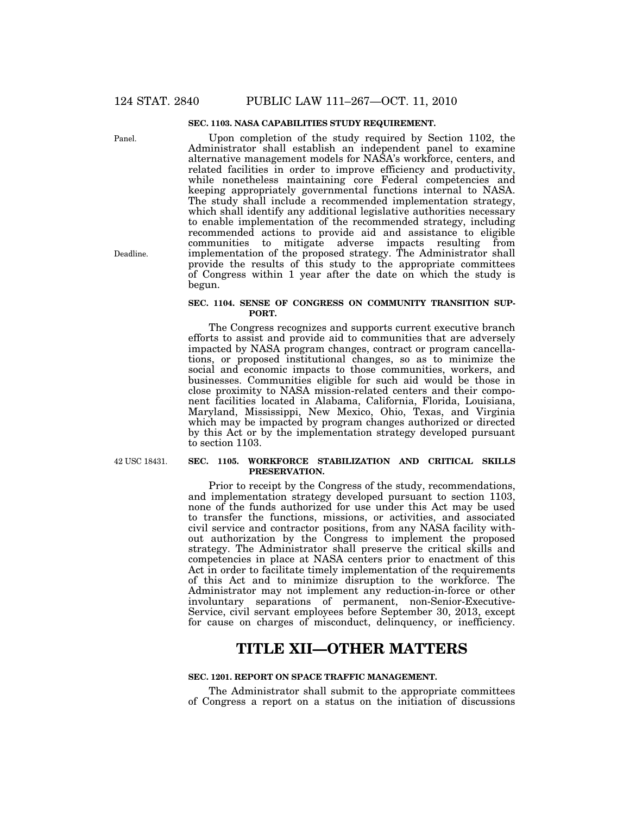# **SEC. 1103. NASA CAPABILITIES STUDY REQUIREMENT.**

Upon completion of the study required by Section 1102, the Administrator shall establish an independent panel to examine alternative management models for NASA's workforce, centers, and related facilities in order to improve efficiency and productivity, while nonetheless maintaining core Federal competencies and keeping appropriately governmental functions internal to NASA. The study shall include a recommended implementation strategy, which shall identify any additional legislative authorities necessary to enable implementation of the recommended strategy, including recommended actions to provide aid and assistance to eligible communities to mitigate adverse impacts resulting from implementation of the proposed strategy. The Administrator shall provide the results of this study to the appropriate committees of Congress within 1 year after the date on which the study is begun.

## **SEC. 1104. SENSE OF CONGRESS ON COMMUNITY TRANSITION SUP-PORT.**

The Congress recognizes and supports current executive branch efforts to assist and provide aid to communities that are adversely impacted by NASA program changes, contract or program cancellations, or proposed institutional changes, so as to minimize the social and economic impacts to those communities, workers, and businesses. Communities eligible for such aid would be those in close proximity to NASA mission-related centers and their component facilities located in Alabama, California, Florida, Louisiana, Maryland, Mississippi, New Mexico, Ohio, Texas, and Virginia which may be impacted by program changes authorized or directed by this Act or by the implementation strategy developed pursuant to section 1103.

42 USC 18431.

### **SEC. 1105. WORKFORCE STABILIZATION AND CRITICAL SKILLS PRESERVATION.**

Prior to receipt by the Congress of the study, recommendations, and implementation strategy developed pursuant to section 1103, none of the funds authorized for use under this Act may be used to transfer the functions, missions, or activities, and associated civil service and contractor positions, from any NASA facility without authorization by the Congress to implement the proposed strategy. The Administrator shall preserve the critical skills and competencies in place at NASA centers prior to enactment of this Act in order to facilitate timely implementation of the requirements of this Act and to minimize disruption to the workforce. The Administrator may not implement any reduction-in-force or other involuntary separations of permanent, non-Senior-Executive-Service, civil servant employees before September 30, 2013, except for cause on charges of misconduct, delinquency, or inefficiency.

# **TITLE XII—OTHER MATTERS**

# **SEC. 1201. REPORT ON SPACE TRAFFIC MANAGEMENT.**

The Administrator shall submit to the appropriate committees of Congress a report on a status on the initiation of discussions

Deadline.

Panel.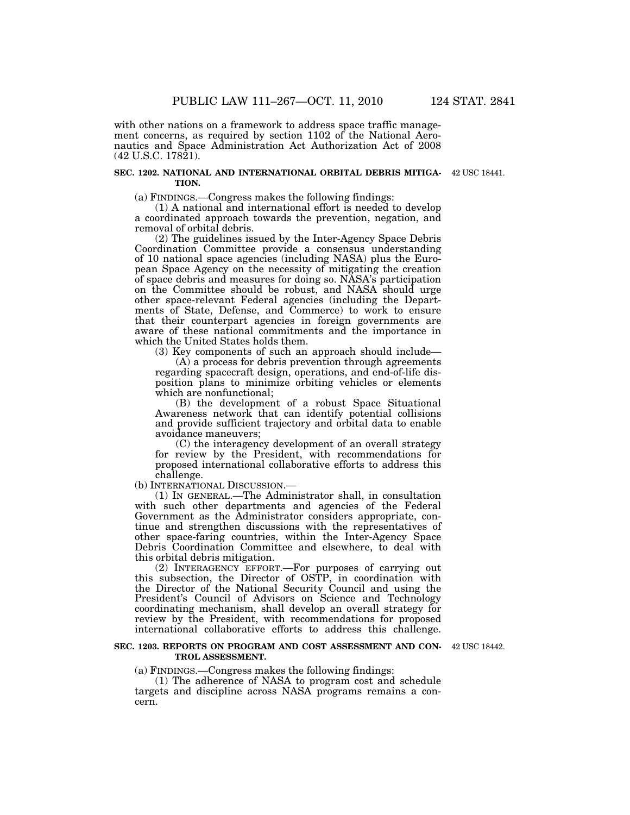with other nations on a framework to address space traffic management concerns, as required by section 1102 of the National Aeronautics and Space Administration Act Authorization Act of 2008 (42 U.S.C. 17821).

#### **SEC. 1202. NATIONAL AND INTERNATIONAL ORBITAL DEBRIS MITIGA-**42 USC 18441. **TION.**

(a) FINDINGS.—Congress makes the following findings:

(1) A national and international effort is needed to develop a coordinated approach towards the prevention, negation, and removal of orbital debris.

(2) The guidelines issued by the Inter-Agency Space Debris Coordination Committee provide a consensus understanding of 10 national space agencies (including NASA) plus the European Space Agency on the necessity of mitigating the creation of space debris and measures for doing so. NASA's participation on the Committee should be robust, and NASA should urge other space-relevant Federal agencies (including the Departments of State, Defense, and Commerce) to work to ensure that their counterpart agencies in foreign governments are aware of these national commitments and the importance in which the United States holds them.

(3) Key components of such an approach should include— (A) a process for debris prevention through agreements regarding spacecraft design, operations, and end-of-life disposition plans to minimize orbiting vehicles or elements which are nonfunctional;

(B) the development of a robust Space Situational Awareness network that can identify potential collisions and provide sufficient trajectory and orbital data to enable avoidance maneuvers;

(C) the interagency development of an overall strategy for review by the President, with recommendations for proposed international collaborative efforts to address this challenge.

(b) INTERNATIONAL DISCUSSION.—

(1) IN GENERAL.—The Administrator shall, in consultation with such other departments and agencies of the Federal Government as the Administrator considers appropriate, continue and strengthen discussions with the representatives of other space-faring countries, within the Inter-Agency Space Debris Coordination Committee and elsewhere, to deal with this orbital debris mitigation.

(2) INTERAGENCY EFFORT.—For purposes of carrying out this subsection, the Director of OSTP, in coordination with the Director of the National Security Council and using the President's Council of Advisors on Science and Technology coordinating mechanism, shall develop an overall strategy for review by the President, with recommendations for proposed international collaborative efforts to address this challenge.

#### **SEC. 1203. REPORTS ON PROGRAM AND COST ASSESSMENT AND CON-**42 USC 18442. **TROL ASSESSMENT.**

(a) FINDINGS.—Congress makes the following findings:

(1) The adherence of NASA to program cost and schedule targets and discipline across NASA programs remains a concern.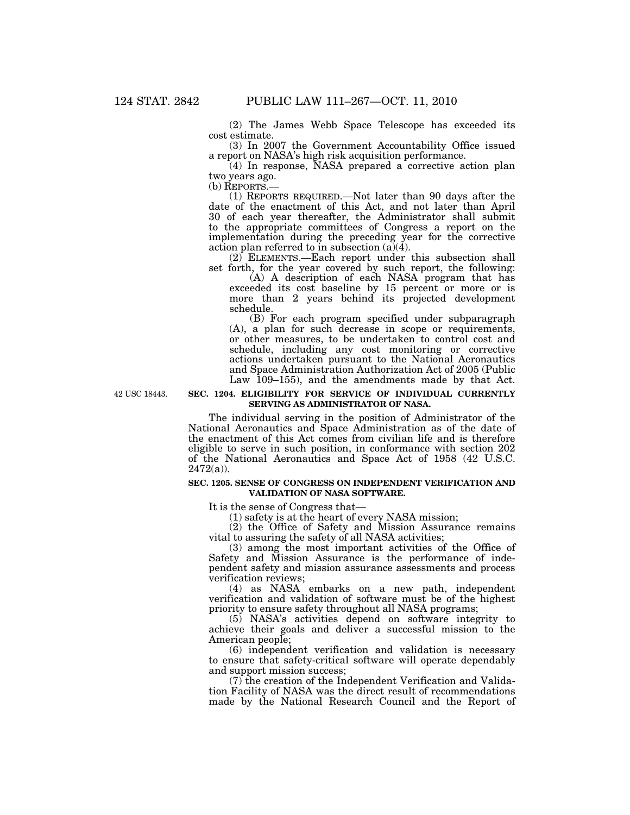(2) The James Webb Space Telescope has exceeded its cost estimate.

(3) In 2007 the Government Accountability Office issued a report on NASA's high risk acquisition performance.

(4) In response, NASA prepared a corrective action plan two years ago.<br>(b) REPORTS.—

(1) REPORTS REQUIRED.—Not later than 90 days after the date of the enactment of this Act, and not later than April 30 of each year thereafter, the Administrator shall submit to the appropriate committees of Congress a report on the implementation during the preceding year for the corrective action plan referred to in subsection  $(a)(4)$ .

(2) ELEMENTS.—Each report under this subsection shall set forth, for the year covered by such report, the following:

(A) A description of each NASA program that has exceeded its cost baseline by 15 percent or more or is more than 2 years behind its projected development schedule.

(B) For each program specified under subparagraph (A), a plan for such decrease in scope or requirements, or other measures, to be undertaken to control cost and schedule, including any cost monitoring or corrective actions undertaken pursuant to the National Aeronautics and Space Administration Authorization Act of 2005 (Public Law 109–155), and the amendments made by that Act.

42 USC 18443.

## **SEC. 1204. ELIGIBILITY FOR SERVICE OF INDIVIDUAL CURRENTLY SERVING AS ADMINISTRATOR OF NASA.**

The individual serving in the position of Administrator of the National Aeronautics and Space Administration as of the date of the enactment of this Act comes from civilian life and is therefore eligible to serve in such position, in conformance with section 202 of the National Aeronautics and Space Act of 1958 (42 U.S.C.  $2472(a)$ ).

#### **SEC. 1205. SENSE OF CONGRESS ON INDEPENDENT VERIFICATION AND VALIDATION OF NASA SOFTWARE.**

It is the sense of Congress that—

(1) safety is at the heart of every NASA mission;

(2) the Office of Safety and Mission Assurance remains vital to assuring the safety of all NASA activities;

(3) among the most important activities of the Office of Safety and Mission Assurance is the performance of independent safety and mission assurance assessments and process verification reviews;

(4) as NASA embarks on a new path, independent verification and validation of software must be of the highest priority to ensure safety throughout all NASA programs;

(5) NASA's activities depend on software integrity to achieve their goals and deliver a successful mission to the American people;

(6) independent verification and validation is necessary to ensure that safety-critical software will operate dependably and support mission success;

 $(7)$  the creation of the Independent Verification and Validation Facility of NASA was the direct result of recommendations made by the National Research Council and the Report of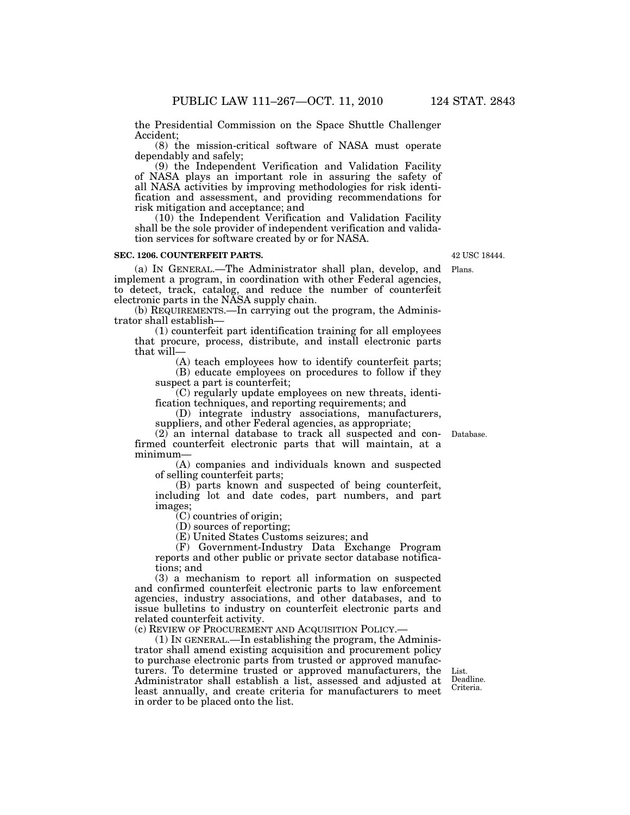the Presidential Commission on the Space Shuttle Challenger Accident;

(8) the mission-critical software of NASA must operate dependably and safely;

(9) the Independent Verification and Validation Facility of NASA plays an important role in assuring the safety of all NASA activities by improving methodologies for risk identification and assessment, and providing recommendations for risk mitigation and acceptance; and

(10) the Independent Verification and Validation Facility shall be the sole provider of independent verification and validation services for software created by or for NASA.

## **SEC. 1206. COUNTERFEIT PARTS.**

(a) IN GENERAL.—The Administrator shall plan, develop, and implement a program, in coordination with other Federal agencies, to detect, track, catalog, and reduce the number of counterfeit electronic parts in the NASA supply chain. Plans.

(b) REQUIREMENTS.—In carrying out the program, the Administrator shall establish—

(1) counterfeit part identification training for all employees that procure, process, distribute, and install electronic parts that will—

(A) teach employees how to identify counterfeit parts;

(B) educate employees on procedures to follow if they suspect a part is counterfeit;

(C) regularly update employees on new threats, identification techniques, and reporting requirements; and

(D) integrate industry associations, manufacturers, suppliers, and other Federal agencies, as appropriate;

(2) an internal database to track all suspected and confirmed counterfeit electronic parts that will maintain, at a minimum—

(A) companies and individuals known and suspected of selling counterfeit parts;

(B) parts known and suspected of being counterfeit, including lot and date codes, part numbers, and part images;

(C) countries of origin;

(D) sources of reporting;

(E) United States Customs seizures; and

(F) Government-Industry Data Exchange Program reports and other public or private sector database notifications; and

(3) a mechanism to report all information on suspected and confirmed counterfeit electronic parts to law enforcement agencies, industry associations, and other databases, and to issue bulletins to industry on counterfeit electronic parts and related counterfeit activity.

(c) REVIEW OF PROCUREMENT AND ACQUISITION POLICY.—

(1) IN GENERAL.—In establishing the program, the Administrator shall amend existing acquisition and procurement policy to purchase electronic parts from trusted or approved manufacturers. To determine trusted or approved manufacturers, the Administrator shall establish a list, assessed and adjusted at least annually, and create criteria for manufacturers to meet in order to be placed onto the list.

List. Deadline. Criteria.

Database.

42 USC 18444.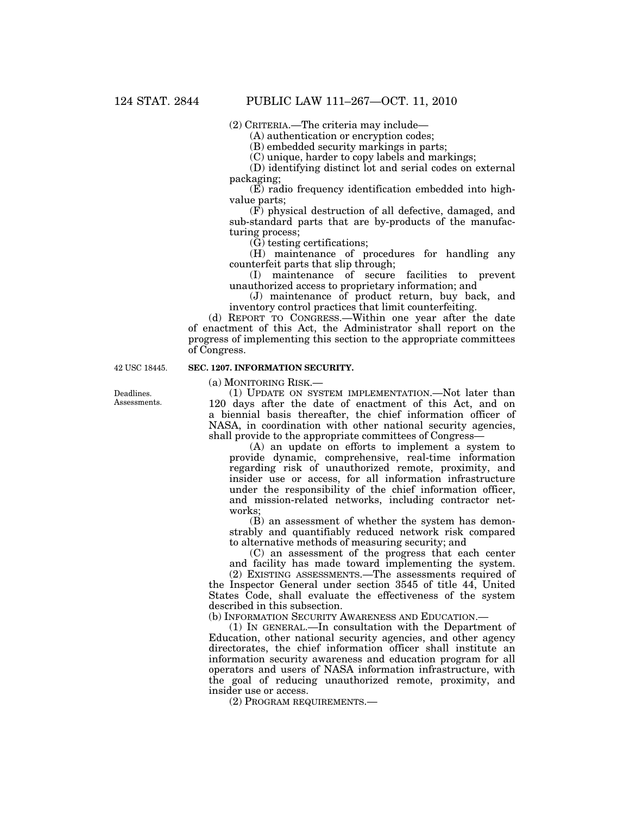(2) CRITERIA.—The criteria may include—

(A) authentication or encryption codes;

(B) embedded security markings in parts;

(C) unique, harder to copy labels and markings;

(D) identifying distinct lot and serial codes on external packaging;

(E) radio frequency identification embedded into highvalue parts;

(F) physical destruction of all defective, damaged, and sub-standard parts that are by-products of the manufacturing process;

 $(\check{G})$  testing certifications;

(H) maintenance of procedures for handling any counterfeit parts that slip through;

(I) maintenance of secure facilities to prevent unauthorized access to proprietary information; and

(J) maintenance of product return, buy back, and inventory control practices that limit counterfeiting.

(d) REPORT TO CONGRESS.—Within one year after the date of enactment of this Act, the Administrator shall report on the progress of implementing this section to the appropriate committees of Congress.

42 USC 18445.

# **SEC. 1207. INFORMATION SECURITY.**

(a) MONITORING RISK.—

(1) UPDATE ON SYSTEM IMPLEMENTATION.—Not later than 120 days after the date of enactment of this Act, and on a biennial basis thereafter, the chief information officer of NASA, in coordination with other national security agencies, shall provide to the appropriate committees of Congress—

(A) an update on efforts to implement a system to provide dynamic, comprehensive, real-time information regarding risk of unauthorized remote, proximity, and insider use or access, for all information infrastructure under the responsibility of the chief information officer, and mission-related networks, including contractor networks;

(B) an assessment of whether the system has demonstrably and quantifiably reduced network risk compared to alternative methods of measuring security; and

(C) an assessment of the progress that each center and facility has made toward implementing the system.

(2) EXISTING ASSESSMENTS.—The assessments required of the Inspector General under section 3545 of title 44, United States Code, shall evaluate the effectiveness of the system described in this subsection.

(b) INFORMATION SECURITY AWARENESS AND EDUCATION.—

(1) IN GENERAL.—In consultation with the Department of Education, other national security agencies, and other agency directorates, the chief information officer shall institute an information security awareness and education program for all operators and users of NASA information infrastructure, with the goal of reducing unauthorized remote, proximity, and insider use or access.

(2) PROGRAM REQUIREMENTS.—

Deadlines. Assessments.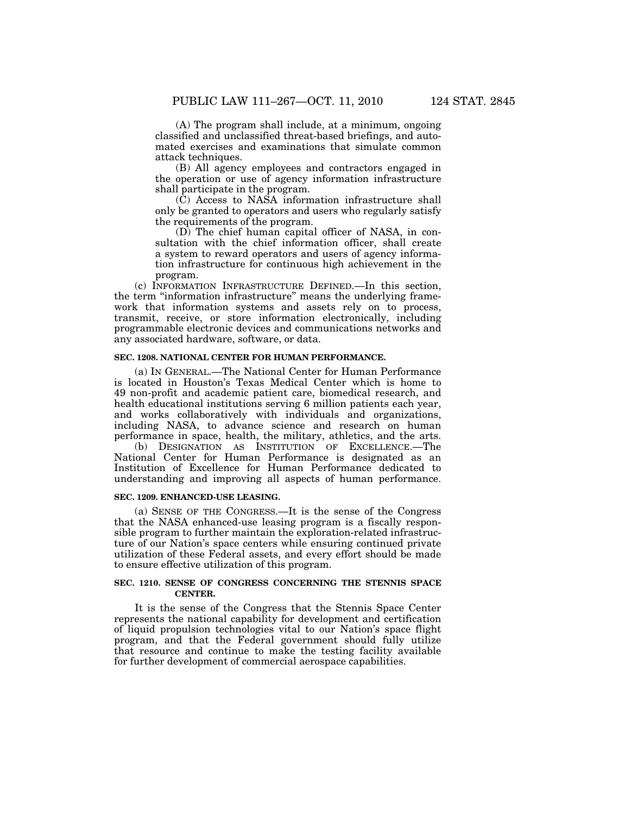(A) The program shall include, at a minimum, ongoing classified and unclassified threat-based briefings, and automated exercises and examinations that simulate common attack techniques.

(B) All agency employees and contractors engaged in the operation or use of agency information infrastructure shall participate in the program.

(C) Access to NASA information infrastructure shall only be granted to operators and users who regularly satisfy the requirements of the program.

(D) The chief human capital officer of NASA, in consultation with the chief information officer, shall create a system to reward operators and users of agency information infrastructure for continuous high achievement in the program.

(c) INFORMATION INFRASTRUCTURE DEFINED.—In this section, the term ''information infrastructure'' means the underlying framework that information systems and assets rely on to process, transmit, receive, or store information electronically, including programmable electronic devices and communications networks and any associated hardware, software, or data.

# **SEC. 1208. NATIONAL CENTER FOR HUMAN PERFORMANCE.**

(a) IN GENERAL.—The National Center for Human Performance is located in Houston's Texas Medical Center which is home to 49 non-profit and academic patient care, biomedical research, and health educational institutions serving 6 million patients each year, and works collaboratively with individuals and organizations, including NASA, to advance science and research on human performance in space, health, the military, athletics, and the arts.

(b) DESIGNATION AS INSTITUTION OF EXCELLENCE.—The National Center for Human Performance is designated as an Institution of Excellence for Human Performance dedicated to understanding and improving all aspects of human performance.

#### **SEC. 1209. ENHANCED-USE LEASING.**

(a) SENSE OF THE CONGRESS.—It is the sense of the Congress that the NASA enhanced-use leasing program is a fiscally responsible program to further maintain the exploration-related infrastructure of our Nation's space centers while ensuring continued private utilization of these Federal assets, and every effort should be made to ensure effective utilization of this program.

# **SEC. 1210. SENSE OF CONGRESS CONCERNING THE STENNIS SPACE CENTER.**

It is the sense of the Congress that the Stennis Space Center represents the national capability for development and certification of liquid propulsion technologies vital to our Nation's space flight program, and that the Federal government should fully utilize that resource and continue to make the testing facility available for further development of commercial aerospace capabilities.